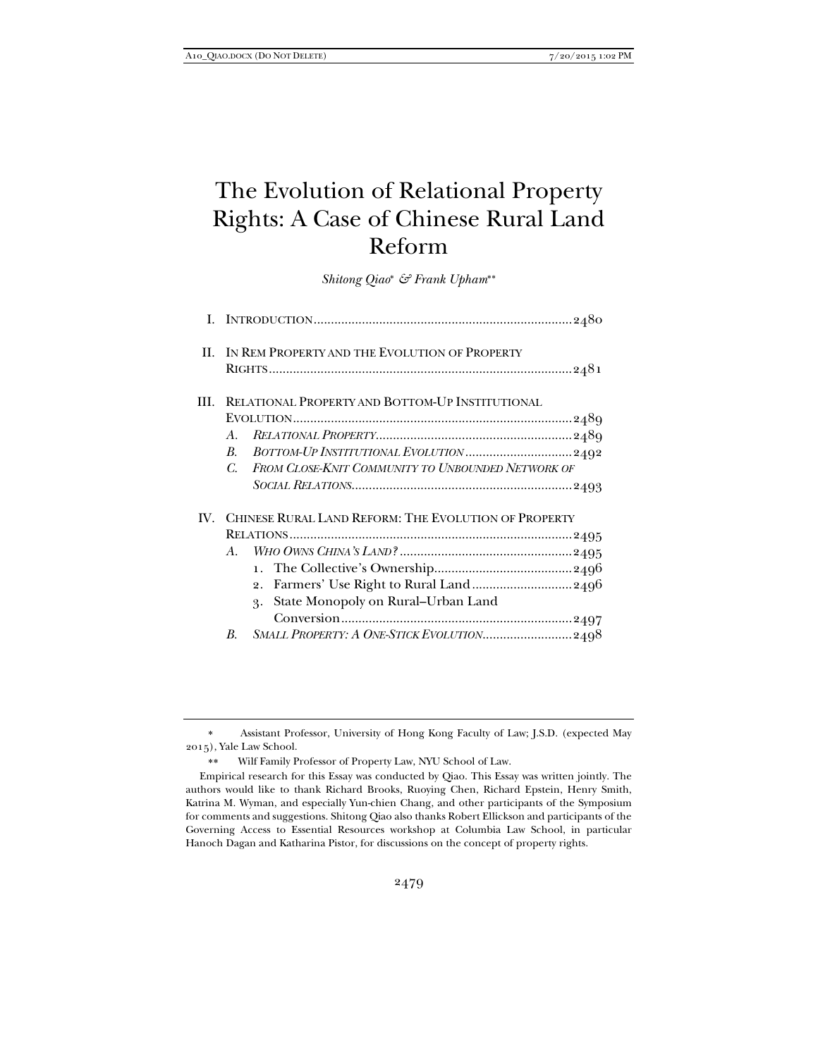# The Evolution of Relational Property Rights: A Case of Chinese Rural Land Reform

*Shitong Qiao & Frank Upham*

| IN REM PROPERTY AND THE EVOLUTION OF PROPERTY<br>$\Pi$ .    |
|-------------------------------------------------------------|
| RELATIONAL PROPERTY AND BOTTOM-UP INSTITUTIONAL<br>III.     |
|                                                             |
| A                                                           |
| В.                                                          |
| FROM CLOSE-KNIT COMMUNITY TO UNBOUNDED NETWORK OF<br>C.     |
|                                                             |
| CHINESE RURAL LAND REFORM: THE EVOLUTION OF PROPERTY<br>IV. |
|                                                             |
| A                                                           |
|                                                             |
| Farmers' Use Right to Rural Land2496<br>2.                  |
| State Monopoly on Rural-Urban Land<br>3.                    |
|                                                             |
| SMALL PROPERTY: A ONE-STICK EVOLUTION2498<br>В.             |
|                                                             |

 Assistant Professor, University of Hong Kong Faculty of Law; J.S.D. (expected May 2015), Yale Law School.

Wilf Family Professor of Property Law, NYU School of Law.

Empirical research for this Essay was conducted by Qiao. This Essay was written jointly. The authors would like to thank Richard Brooks, Ruoying Chen, Richard Epstein, Henry Smith, Katrina M. Wyman, and especially Yun-chien Chang, and other participants of the Symposium for comments and suggestions. Shitong Qiao also thanks Robert Ellickson and participants of the Governing Access to Essential Resources workshop at Columbia Law School, in particular Hanoch Dagan and Katharina Pistor, for discussions on the concept of property rights.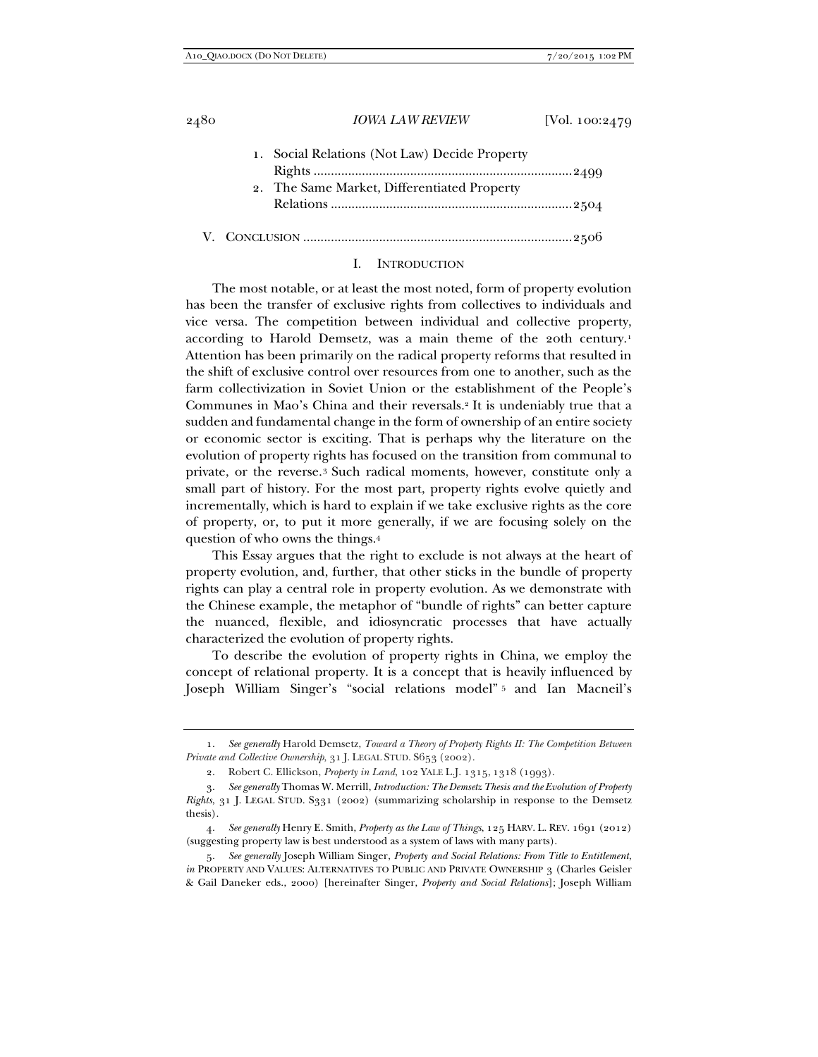| 1. Social Relations (Not Law) Decide Property |
|-----------------------------------------------|
|                                               |
| 2. The Same Market, Differentiated Property   |
|                                               |
|                                               |

V. CONCLUSION .............................................................................. 2506

## I. INTRODUCTION

The most notable, or at least the most noted, form of property evolution has been the transfer of exclusive rights from collectives to individuals and vice versa. The competition between individual and collective property, according to Harold Demsetz, was a main theme of the 20th century.<sup>1</sup> Attention has been primarily on the radical property reforms that resulted in the shift of exclusive control over resources from one to another, such as the farm collectivization in Soviet Union or the establishment of the People's Communes in Mao's China and their reversals.2 It is undeniably true that a sudden and fundamental change in the form of ownership of an entire society or economic sector is exciting. That is perhaps why the literature on the evolution of property rights has focused on the transition from communal to private, or the reverse.3 Such radical moments, however, constitute only a small part of history. For the most part, property rights evolve quietly and incrementally, which is hard to explain if we take exclusive rights as the core of property, or, to put it more generally, if we are focusing solely on the question of who owns the things.4

This Essay argues that the right to exclude is not always at the heart of property evolution, and, further, that other sticks in the bundle of property rights can play a central role in property evolution. As we demonstrate with the Chinese example, the metaphor of "bundle of rights" can better capture the nuanced, flexible, and idiosyncratic processes that have actually characterized the evolution of property rights.

To describe the evolution of property rights in China, we employ the concept of relational property. It is a concept that is heavily influenced by Joseph William Singer's "social relations model" 5 and Ian Macneil's

 <sup>1.</sup> *See generally* Harold Demsetz, *Toward a Theory of Property Rights II: The Competition Between Private and Collective Ownership*, 31 J. LEGAL STUD. S653 (2002).

 <sup>2.</sup> Robert C. Ellickson, *Property in Land*, 102 YALE L.J. 1315, 1318 (1993).

 <sup>3.</sup> *See generally* Thomas W. Merrill, *Introduction: The Demsetz Thesis and the Evolution of Property Rights*, 31 J. LEGAL STUD. S331 (2002) (summarizing scholarship in response to the Demsetz thesis).

 <sup>4.</sup> *See generally* Henry E. Smith, *Property as the Law of Things*, 125 HARV. L. REV. 1691 (2012) (suggesting property law is best understood as a system of laws with many parts).

 <sup>5.</sup> *See generally* Joseph William Singer, *Property and Social Relations: From Title to Entitlement*, *in* PROPERTY AND VALUES: ALTERNATIVES TO PUBLIC AND PRIVATE OWNERSHIP 3 (Charles Geisler & Gail Daneker eds., 2000) [hereinafter Singer, *Property and Social Relations*]; Joseph William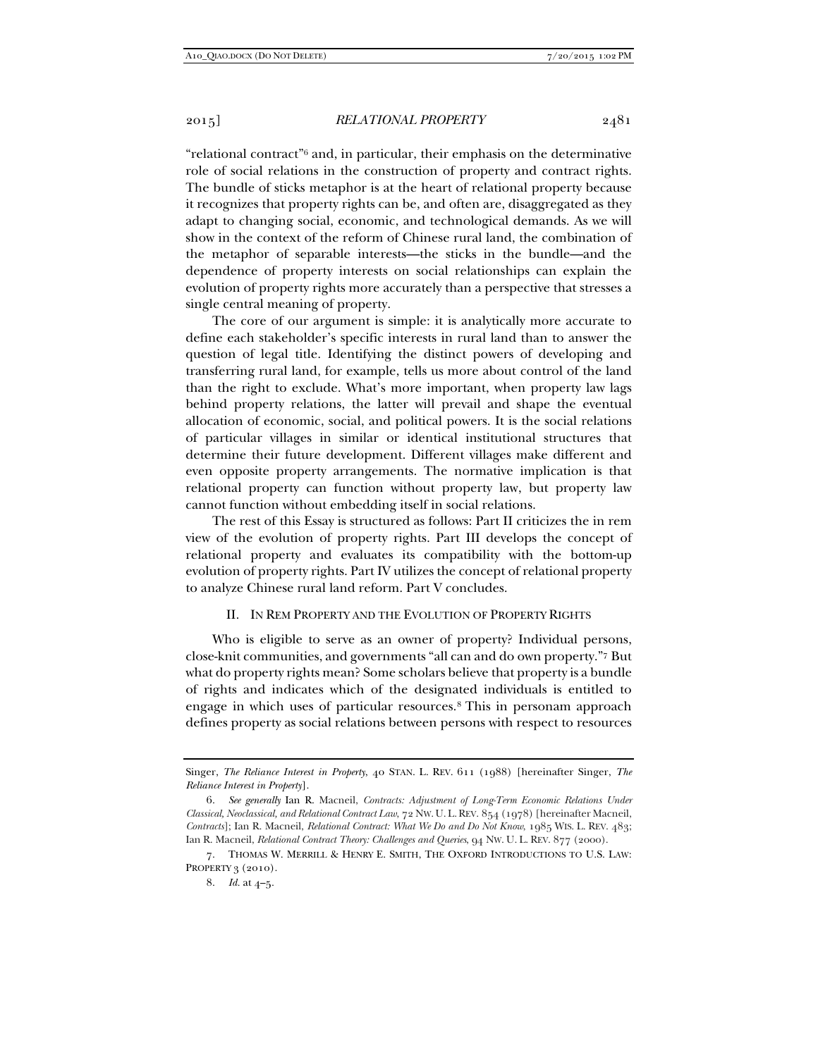"relational contract"6 and, in particular, their emphasis on the determinative role of social relations in the construction of property and contract rights. The bundle of sticks metaphor is at the heart of relational property because it recognizes that property rights can be, and often are, disaggregated as they adapt to changing social, economic, and technological demands. As we will show in the context of the reform of Chinese rural land, the combination of the metaphor of separable interests—the sticks in the bundle—and the dependence of property interests on social relationships can explain the evolution of property rights more accurately than a perspective that stresses a single central meaning of property.

The core of our argument is simple: it is analytically more accurate to define each stakeholder's specific interests in rural land than to answer the question of legal title. Identifying the distinct powers of developing and transferring rural land, for example, tells us more about control of the land than the right to exclude. What's more important, when property law lags behind property relations, the latter will prevail and shape the eventual allocation of economic, social, and political powers. It is the social relations of particular villages in similar or identical institutional structures that determine their future development. Different villages make different and even opposite property arrangements. The normative implication is that relational property can function without property law, but property law cannot function without embedding itself in social relations.

The rest of this Essay is structured as follows: Part II criticizes the in rem view of the evolution of property rights. Part III develops the concept of relational property and evaluates its compatibility with the bottom-up evolution of property rights. Part IV utilizes the concept of relational property to analyze Chinese rural land reform. Part V concludes.

# II. IN REM PROPERTY AND THE EVOLUTION OF PROPERTY RIGHTS

Who is eligible to serve as an owner of property? Individual persons, close-knit communities, and governments "all can and do own property."7 But what do property rights mean? Some scholars believe that property is a bundle of rights and indicates which of the designated individuals is entitled to engage in which uses of particular resources.8 This in personam approach defines property as social relations between persons with respect to resources

Singer, *The Reliance Interest in Property*, 40 STAN. L. REV. 611 (1988) [hereinafter Singer, *The Reliance Interest in Property*].

 <sup>6.</sup> *See generally* Ian R. Macneil, *Contracts: Adjustment of Long-Term Economic Relations Under Classical, Neoclassical, and Relational Contract Law*, 72 NW.U.L.REV. 854 (1978) [hereinafter Macneil, *Contracts*]; Ian R. Macneil, *Relational Contract: What We Do and Do Not Know*, 1985 WIS. L. REV. 483; Ian R. Macneil, *Relational Contract Theory: Challenges and Queries*, 94 NW. U. L. REV. 877 (2000).

 <sup>7.</sup> THOMAS W. MERRILL & HENRY E. SMITH, THE OXFORD INTRODUCTIONS TO U.S. LAW: PROPERTY 3 (2010).

 <sup>8.</sup> *Id.* at 4–5.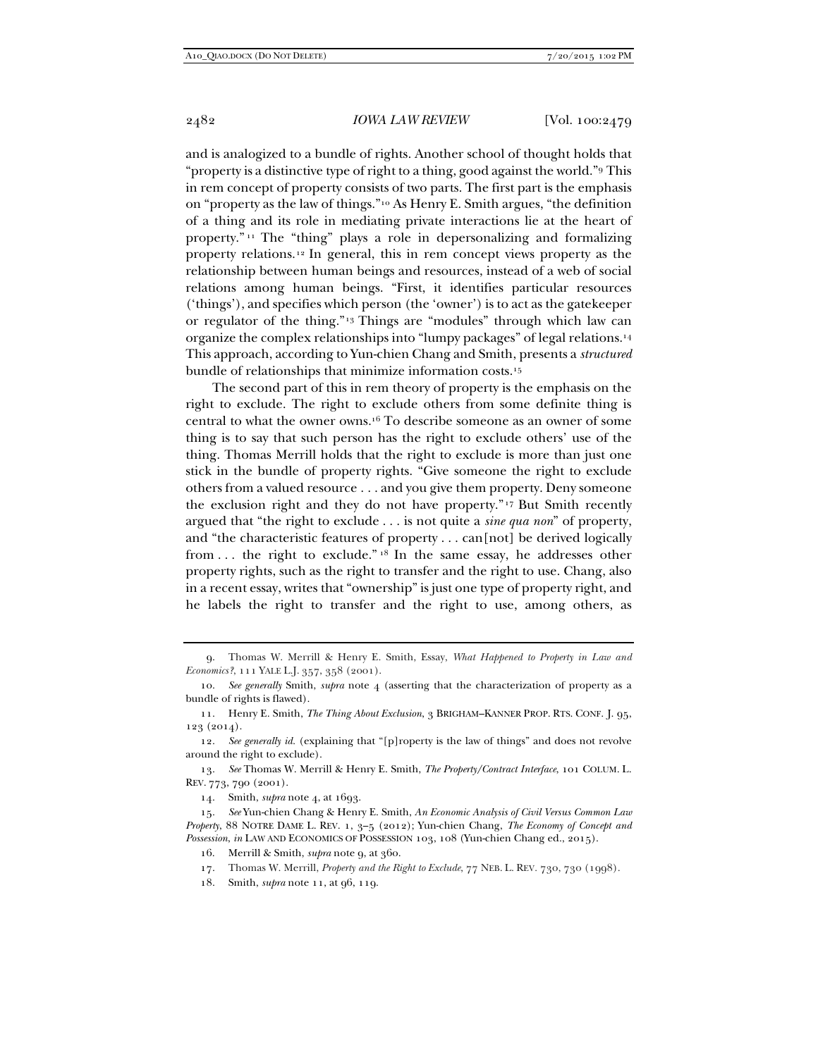and is analogized to a bundle of rights. Another school of thought holds that "property is a distinctive type of right to a thing, good against the world."9 This in rem concept of property consists of two parts. The first part is the emphasis on "property as the law of things."10 As Henry E. Smith argues, "the definition of a thing and its role in mediating private interactions lie at the heart of property." 11 The "thing" plays a role in depersonalizing and formalizing property relations.12 In general, this in rem concept views property as the relationship between human beings and resources, instead of a web of social relations among human beings. "First, it identifies particular resources ('things'), and specifies which person (the 'owner') is to act as the gatekeeper or regulator of the thing."13 Things are "modules" through which law can organize the complex relationships into "lumpy packages" of legal relations.14 This approach, according to Yun-chien Chang and Smith, presents a *structured* bundle of relationships that minimize information costs.15

The second part of this in rem theory of property is the emphasis on the right to exclude. The right to exclude others from some definite thing is central to what the owner owns.16 To describe someone as an owner of some thing is to say that such person has the right to exclude others' use of the thing. Thomas Merrill holds that the right to exclude is more than just one stick in the bundle of property rights. "Give someone the right to exclude others from a valued resource . . . and you give them property. Deny someone the exclusion right and they do not have property."17 But Smith recently argued that "the right to exclude . . . is not quite a *sine qua non*" of property, and "the characteristic features of property . . . can[not] be derived logically from . . . the right to exclude." 18 In the same essay, he addresses other property rights, such as the right to transfer and the right to use. Chang, also in a recent essay, writes that "ownership" is just one type of property right, and he labels the right to transfer and the right to use, among others, as

14. Smith, *supra* note 4, at 1693.

 15. *See* Yun-chien Chang & Henry E. Smith, *An Economic Analysis of Civil Versus Common Law Property*, 88 NOTRE DAME L. REV. 1, 3–5 (2012); Yun-chien Chang, *The Economy of Concept and Possession*, *in* LAW AND ECONOMICS OF POSSESSION 103, 108 (Yun-chien Chang ed., 2015).

16. Merrill & Smith, *supra* note 9, at 360.

17. Thomas W. Merrill, *Property and the Right to Exclude*, 77 NEB. L. REV*.* 730, 730 (1998).

18. Smith, *supra* note 11, at 96, 119.

 <sup>9.</sup> Thomas W. Merrill & Henry E. Smith, Essay, *What Happened to Property in Law and Economics?*, 111 YALE L.J. 357, 358 (2001).

 <sup>10.</sup> *See generally* Smith, *supra* note 4 (asserting that the characterization of property as a bundle of rights is flawed).

 <sup>11.</sup> Henry E. Smith, *The Thing About Exclusion*, 3 BRIGHAM–KANNER PROP. RTS. CONF. J. 95, 123 (2014).

 <sup>12.</sup> *See generally id.* (explaining that "[p]roperty is the law of things" and does not revolve around the right to exclude).

 <sup>13.</sup> *See* Thomas W. Merrill & Henry E. Smith, *The Property/Contract Interface*, 101 COLUM. L. REV. 773, 790 (2001).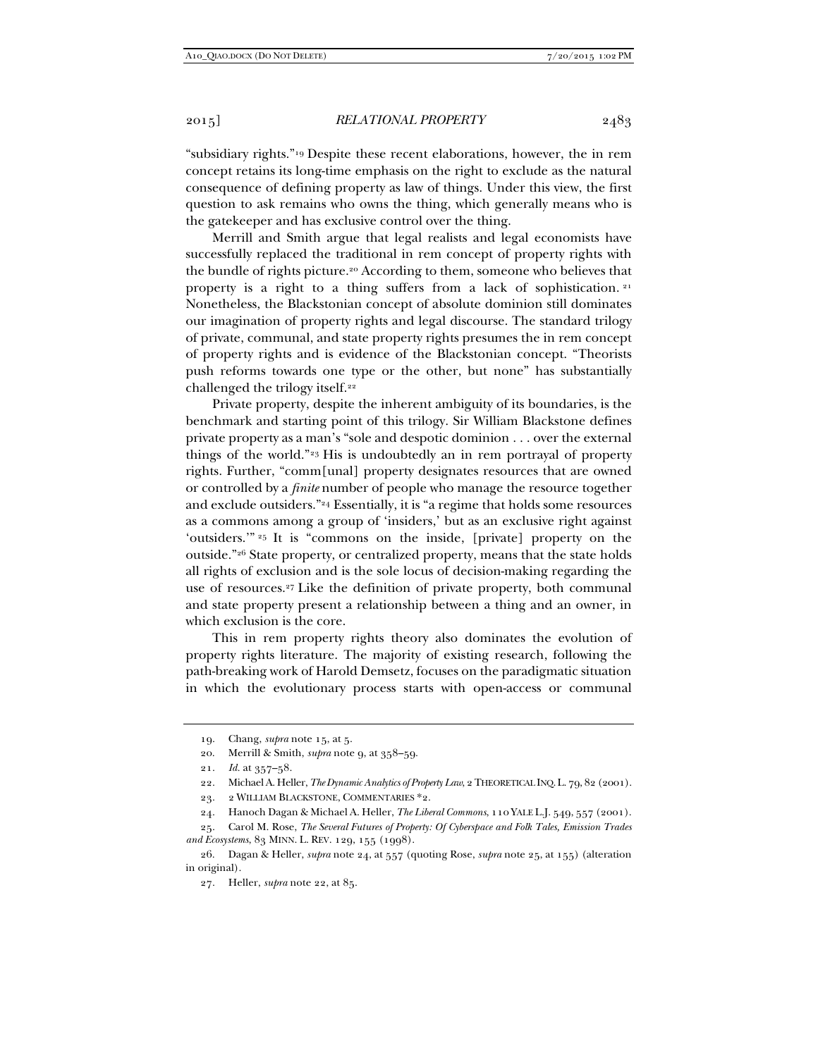"subsidiary rights."19 Despite these recent elaborations, however, the in rem concept retains its long-time emphasis on the right to exclude as the natural consequence of defining property as law of things. Under this view, the first question to ask remains who owns the thing, which generally means who is the gatekeeper and has exclusive control over the thing.

Merrill and Smith argue that legal realists and legal economists have successfully replaced the traditional in rem concept of property rights with the bundle of rights picture.20 According to them, someone who believes that property is a right to a thing suffers from a lack of sophistication.<sup>21</sup> Nonetheless, the Blackstonian concept of absolute dominion still dominates our imagination of property rights and legal discourse. The standard trilogy of private, communal, and state property rights presumes the in rem concept of property rights and is evidence of the Blackstonian concept. "Theorists push reforms towards one type or the other, but none" has substantially challenged the trilogy itself.22

Private property, despite the inherent ambiguity of its boundaries, is the benchmark and starting point of this trilogy. Sir William Blackstone defines private property as a man's "sole and despotic dominion . . . over the external things of the world."23 His is undoubtedly an in rem portrayal of property rights. Further, "comm[unal] property designates resources that are owned or controlled by a *finite* number of people who manage the resource together and exclude outsiders."24 Essentially, it is "a regime that holds some resources as a commons among a group of 'insiders,' but as an exclusive right against 'outsiders.'" 25 It is "commons on the inside, [private] property on the outside."26 State property, or centralized property, means that the state holds all rights of exclusion and is the sole locus of decision-making regarding the use of resources.27 Like the definition of private property, both communal and state property present a relationship between a thing and an owner, in which exclusion is the core.

This in rem property rights theory also dominates the evolution of property rights literature. The majority of existing research, following the path-breaking work of Harold Demsetz, focuses on the paradigmatic situation in which the evolutionary process starts with open-access or communal

 <sup>19.</sup> Chang, *supra* note 15, at 5.

 <sup>20.</sup> Merrill & Smith, *supra* note 9, at 358–59.

 <sup>21.</sup> *Id.* at 357–58.

 <sup>22.</sup> Michael A. Heller, *The Dynamic Analytics of Property Law*, 2 THEORETICAL INQ.L. 79, 82 (2001).

 <sup>23. 2</sup> WILLIAM BLACKSTONE, COMMENTARIES \*2.

 <sup>24.</sup> Hanoch Dagan & Michael A. Heller, *The Liberal Commons*, 110 YALE L.J. 549, 557 (2001).

 <sup>25.</sup> Carol M. Rose, *The Several Futures of Property: Of Cyberspace and Folk Tales, Emission Trades and Ecosystems*, 83 MINN. L. REV. 129, 155 (1998).

 <sup>26.</sup> Dagan & Heller, *supra* note 24, at 557 (quoting Rose, *supra* note 25, at 155) (alteration in original).

 <sup>27.</sup> Heller, *supra* note 22, at 85.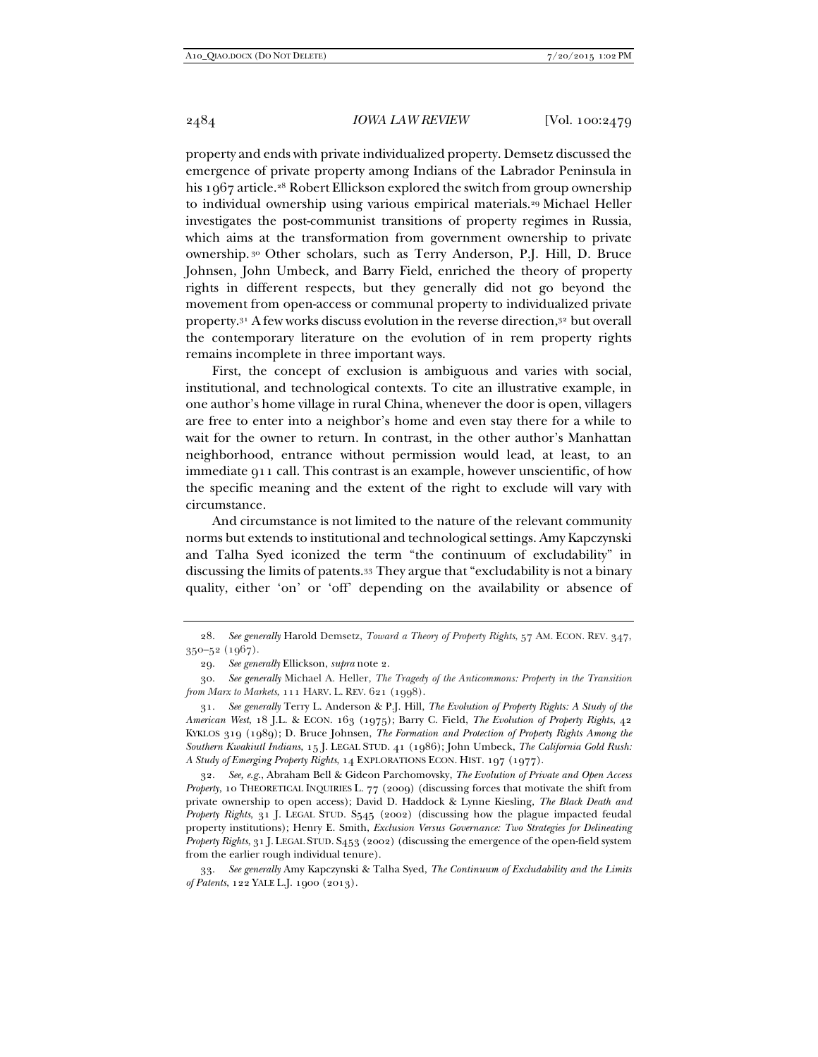property and ends with private individualized property. Demsetz discussed the emergence of private property among Indians of the Labrador Peninsula in his 1967 article.<sup>28</sup> Robert Ellickson explored the switch from group ownership to individual ownership using various empirical materials.<sup>29</sup> Michael Heller investigates the post-communist transitions of property regimes in Russia, which aims at the transformation from government ownership to private ownership. 30 Other scholars, such as Terry Anderson, P.J. Hill, D. Bruce Johnsen, John Umbeck, and Barry Field, enriched the theory of property rights in different respects, but they generally did not go beyond the movement from open-access or communal property to individualized private property.31 A few works discuss evolution in the reverse direction,32 but overall the contemporary literature on the evolution of in rem property rights remains incomplete in three important ways.

First, the concept of exclusion is ambiguous and varies with social, institutional, and technological contexts. To cite an illustrative example, in one author's home village in rural China, whenever the door is open, villagers are free to enter into a neighbor's home and even stay there for a while to wait for the owner to return. In contrast, in the other author's Manhattan neighborhood, entrance without permission would lead, at least, to an immediate 911 call. This contrast is an example, however unscientific, of how the specific meaning and the extent of the right to exclude will vary with circumstance.

And circumstance is not limited to the nature of the relevant community norms but extends to institutional and technological settings. Amy Kapczynski and Talha Syed iconized the term "the continuum of excludability" in discussing the limits of patents.33 They argue that "excludability is not a binary quality, either 'on' or 'off' depending on the availability or absence of

 33. *See generally* Amy Kapczynski & Talha Syed, *The Continuum of Excludability and the Limits of Patents*, 122 YALE L.J. 1900 (2013).

 <sup>28.</sup> *See generally* Harold Demsetz, *Toward a Theory of Property Rights*, 57 AM. ECON. REV. 347, 350–52 (1967).

 <sup>29.</sup> *See generally* Ellickson, *supra* note 2.

 <sup>30.</sup> *See generally* Michael A. Heller, *The Tragedy of the Anticommons: Property in the Transition from Marx to Markets*, 111 HARV. L. REV. 621 (1998).

 <sup>31.</sup> *See generally* Terry L. Anderson & P.J. Hill, *The Evolution of Property Rights: A Study of the American West*, 18 J.L. & ECON. 163 (1975); Barry C. Field, *The Evolution of Property Rights*, 42 KYKLOS 319 (1989); D. Bruce Johnsen, *The Formation and Protection of Property Rights Among the Southern Kwakiutl Indians*, 15 J. LEGAL STUD. 41 (1986); John Umbeck, *The California Gold Rush: A Study of Emerging Property Rights*, 14 EXPLORATIONS ECON. HIST. 197 (1977).

 <sup>32.</sup> *See, e.g.*, Abraham Bell & Gideon Parchomovsky, *The Evolution of Private and Open Access Property*, 10 THEORETICAL INQUIRIES L. 77 (2009) (discussing forces that motivate the shift from private ownership to open access); David D. Haddock & Lynne Kiesling, *The Black Death and Property Rights*, 31 J. LEGAL STUD. S545 (2002) (discussing how the plague impacted feudal property institutions); Henry E. Smith, *Exclusion Versus Governance: Two Strategies for Delineating Property Rights*, 31 J. LEGAL STUD. S453 (2002) (discussing the emergence of the open-field system from the earlier rough individual tenure).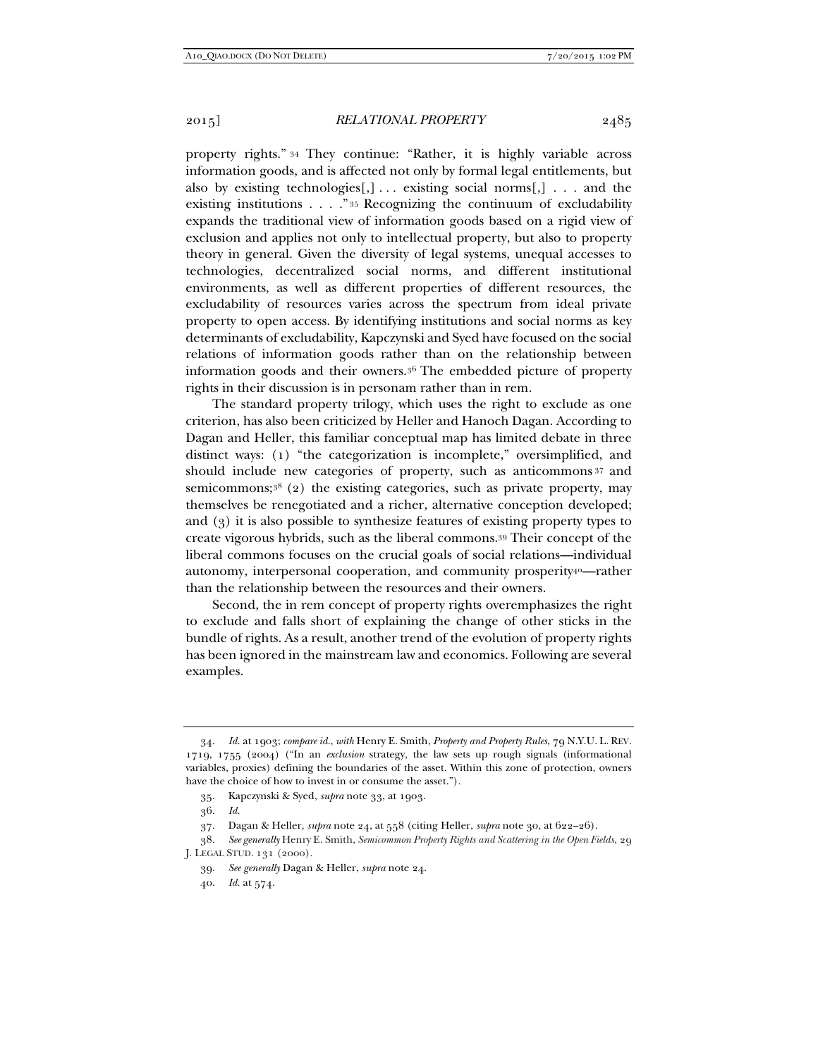property rights." 34 They continue: "Rather, it is highly variable across information goods, and is affected not only by formal legal entitlements, but also by existing technologies[,] . . . existing social norms[,] . . . and the existing institutions . . . ." 35 Recognizing the continuum of excludability expands the traditional view of information goods based on a rigid view of exclusion and applies not only to intellectual property, but also to property theory in general. Given the diversity of legal systems, unequal accesses to technologies, decentralized social norms, and different institutional environments, as well as different properties of different resources, the excludability of resources varies across the spectrum from ideal private property to open access. By identifying institutions and social norms as key determinants of excludability, Kapczynski and Syed have focused on the social relations of information goods rather than on the relationship between information goods and their owners.36 The embedded picture of property rights in their discussion is in personam rather than in rem.

The standard property trilogy, which uses the right to exclude as one criterion, has also been criticized by Heller and Hanoch Dagan. According to Dagan and Heller, this familiar conceptual map has limited debate in three distinct ways: (1) "the categorization is incomplete," oversimplified, and should include new categories of property, such as anticommons 37 and semicommons;<sup>38</sup> (2) the existing categories, such as private property, may themselves be renegotiated and a richer, alternative conception developed; and (3) it is also possible to synthesize features of existing property types to create vigorous hybrids, such as the liberal commons.39 Their concept of the liberal commons focuses on the crucial goals of social relations—individual autonomy, interpersonal cooperation, and community prosperity<sup>40</sup>—rather than the relationship between the resources and their owners.

Second, the in rem concept of property rights overemphasizes the right to exclude and falls short of explaining the change of other sticks in the bundle of rights. As a result, another trend of the evolution of property rights has been ignored in the mainstream law and economics. Following are several examples.

 <sup>34.</sup> *Id.* at 1903; *compare id.*, *with* Henry E. Smith, *Property and Property Rules*, 79 N.Y.U. L. REV. 1719, 1755 (2004) ("In an *exclusion* strategy, the law sets up rough signals (informational variables, proxies) defining the boundaries of the asset. Within this zone of protection, owners have the choice of how to invest in or consume the asset.").

 <sup>35.</sup> Kapczynski & Syed, *supra* note 33, at 1903.

 <sup>36.</sup> *Id.*

 <sup>37.</sup> Dagan & Heller, *supra* note 24, at 558 (citing Heller, *supra* note 30, at 622–26).

 <sup>38.</sup> *See generally* Henry E. Smith, *Semicommon Property Rights and Scattering in the Open Fields*, 29 J. LEGAL STUD. 131 (2000).

 <sup>39.</sup> *See generally* Dagan & Heller, *supra* note 24.

 <sup>40.</sup> *Id.* at 574.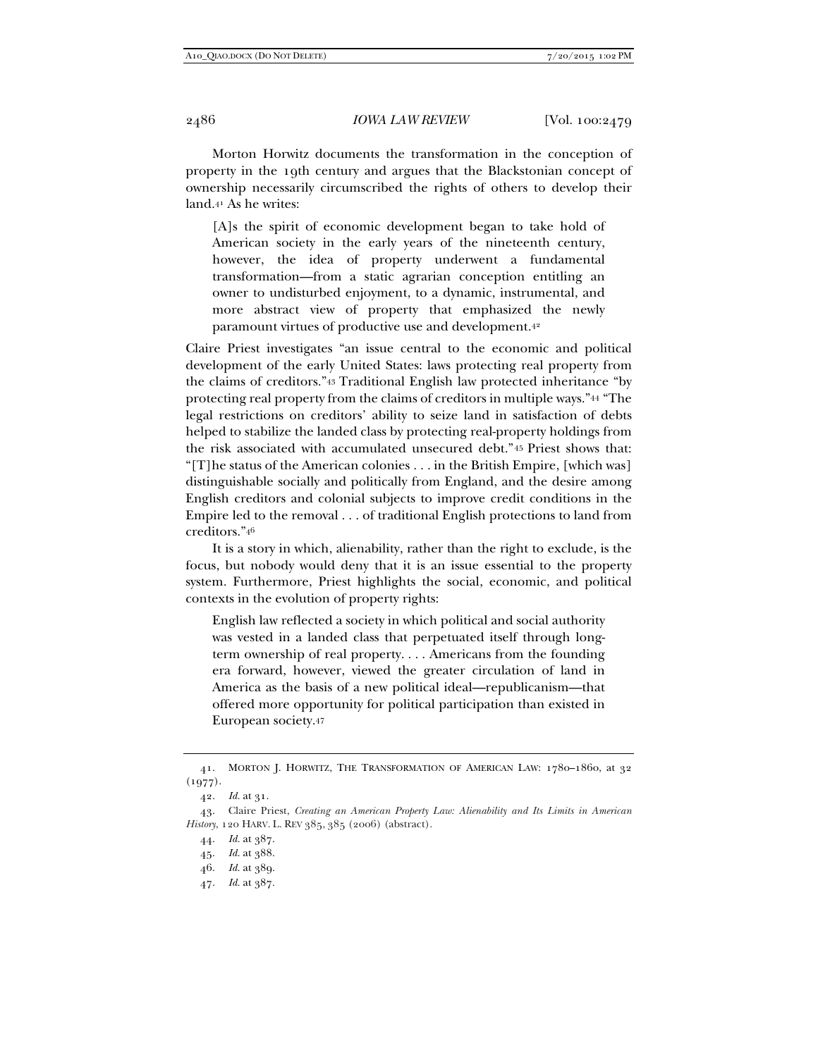Morton Horwitz documents the transformation in the conception of property in the 19th century and argues that the Blackstonian concept of ownership necessarily circumscribed the rights of others to develop their land.41 As he writes:

[A]s the spirit of economic development began to take hold of American society in the early years of the nineteenth century, however, the idea of property underwent a fundamental transformation—from a static agrarian conception entitling an owner to undisturbed enjoyment, to a dynamic, instrumental, and more abstract view of property that emphasized the newly paramount virtues of productive use and development.42

Claire Priest investigates "an issue central to the economic and political development of the early United States: laws protecting real property from the claims of creditors."43 Traditional English law protected inheritance "by protecting real property from the claims of creditors in multiple ways."44 "The legal restrictions on creditors' ability to seize land in satisfaction of debts helped to stabilize the landed class by protecting real-property holdings from the risk associated with accumulated unsecured debt."45 Priest shows that: "[T]he status of the American colonies . . . in the British Empire, [which was] distinguishable socially and politically from England, and the desire among English creditors and colonial subjects to improve credit conditions in the Empire led to the removal . . . of traditional English protections to land from creditors."46

It is a story in which, alienability, rather than the right to exclude, is the focus, but nobody would deny that it is an issue essential to the property system. Furthermore, Priest highlights the social, economic, and political contexts in the evolution of property rights:

English law reflected a society in which political and social authority was vested in a landed class that perpetuated itself through longterm ownership of real property. . . . Americans from the founding era forward, however, viewed the greater circulation of land in America as the basis of a new political ideal—republicanism—that offered more opportunity for political participation than existed in European society.47

 <sup>41.</sup> MORTON J. HORWITZ, THE TRANSFORMATION OF AMERICAN LAW: 1780–1860, at 32  $(1977)$ .

 <sup>42.</sup> *Id.* at 31.

 <sup>43.</sup> Claire Priest, *Creating an American Property Law: Alienability and Its Limits in American History*, 120 HARV. L. REV 385, 385 (2006) (abstract).

 <sup>44.</sup> *Id.* at 387.

 <sup>45.</sup> *Id.* at 388.

 <sup>46.</sup> *Id.* at 389.

 <sup>47.</sup> *Id.* at 387.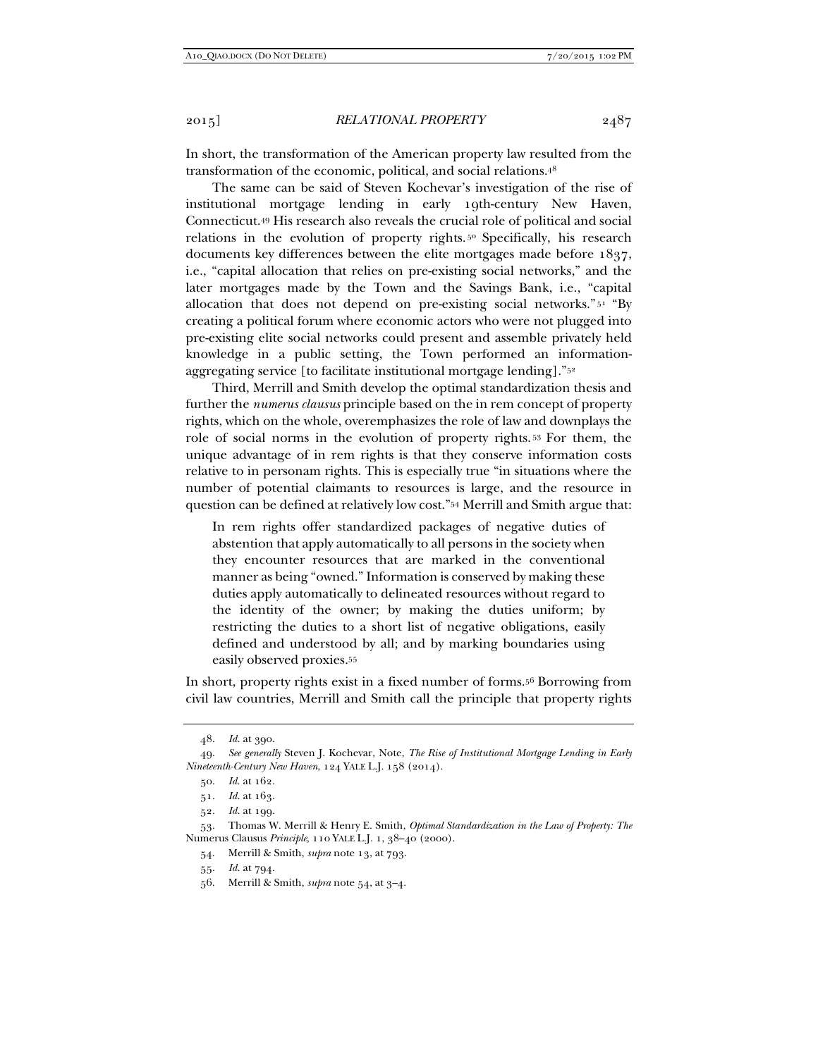In short, the transformation of the American property law resulted from the transformation of the economic, political, and social relations.48

The same can be said of Steven Kochevar's investigation of the rise of institutional mortgage lending in early 19th-century New Haven, Connecticut.49 His research also reveals the crucial role of political and social relations in the evolution of property rights.<sup>50</sup> Specifically, his research documents key differences between the elite mortgages made before 1837, i.e., "capital allocation that relies on pre-existing social networks," and the later mortgages made by the Town and the Savings Bank, i.e., "capital allocation that does not depend on pre-existing social networks."<sup>51</sup> "By creating a political forum where economic actors who were not plugged into pre-existing elite social networks could present and assemble privately held knowledge in a public setting, the Town performed an informationaggregating service [to facilitate institutional mortgage lending]."52

Third, Merrill and Smith develop the optimal standardization thesis and further the *numerus clausus* principle based on the in rem concept of property rights, which on the whole, overemphasizes the role of law and downplays the role of social norms in the evolution of property rights. 53 For them, the unique advantage of in rem rights is that they conserve information costs relative to in personam rights. This is especially true "in situations where the number of potential claimants to resources is large, and the resource in question can be defined at relatively low cost."54 Merrill and Smith argue that:

In rem rights offer standardized packages of negative duties of abstention that apply automatically to all persons in the society when they encounter resources that are marked in the conventional manner as being "owned." Information is conserved by making these duties apply automatically to delineated resources without regard to the identity of the owner; by making the duties uniform; by restricting the duties to a short list of negative obligations, easily defined and understood by all; and by marking boundaries using easily observed proxies.55

In short, property rights exist in a fixed number of forms.56 Borrowing from civil law countries, Merrill and Smith call the principle that property rights

54. Merrill & Smith, *supra* note 13, at 793.

 <sup>48.</sup> *Id.* at 390.

 <sup>49.</sup> *See generally* Steven J. Kochevar, Note, *The Rise of Institutional Mortgage Lending in Early Nineteenth-Century New Haven*, 124 YALE L.J. 158 (2014).

 <sup>50.</sup> *Id.* at 162.

 <sup>51.</sup> *Id.* at 163.

 <sup>52.</sup> *Id.* at 199.

 <sup>53.</sup> Thomas W. Merrill & Henry E. Smith, *Optimal Standardization in the Law of Property: The*  Numerus Clausus *Principle*, 110 YALE L.J. 1, 38–40 (2000).

 <sup>55.</sup> *Id.* at 794.

 <sup>56.</sup> Merrill & Smith, *supra* note 54, at 3–4.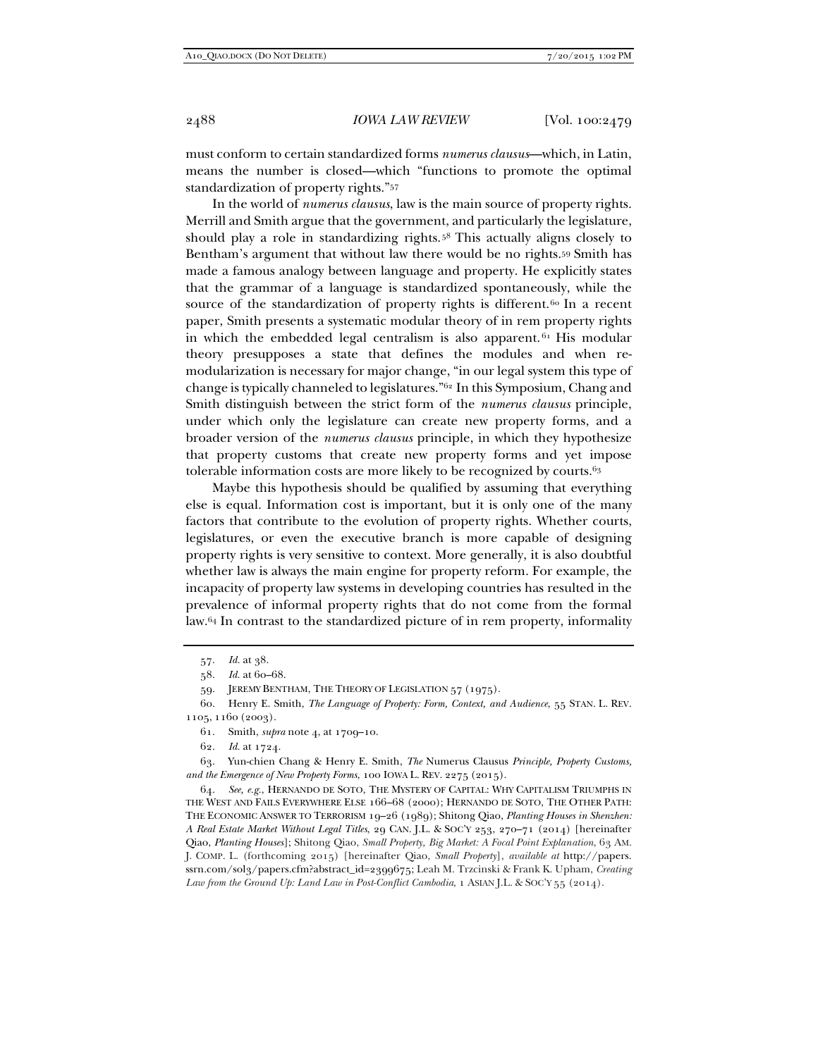must conform to certain standardized forms *numerus clausus*—which, in Latin, means the number is closed—which "functions to promote the optimal standardization of property rights."57

In the world of *numerus clausus*, law is the main source of property rights. Merrill and Smith argue that the government, and particularly the legislature, should play a role in standardizing rights.58 This actually aligns closely to Bentham's argument that without law there would be no rights.59 Smith has made a famous analogy between language and property. He explicitly states that the grammar of a language is standardized spontaneously, while the source of the standardization of property rights is different.<sup>60</sup> In a recent paper, Smith presents a systematic modular theory of in rem property rights in which the embedded legal centralism is also apparent.<sup> $61$ </sup> His modular theory presupposes a state that defines the modules and when remodularization is necessary for major change, "in our legal system this type of change is typically channeled to legislatures."62 In this Symposium, Chang and Smith distinguish between the strict form of the *numerus clausus* principle, under which only the legislature can create new property forms, and a broader version of the *numerus clausus* principle, in which they hypothesize that property customs that create new property forms and yet impose tolerable information costs are more likely to be recognized by courts.<sup>63</sup>

Maybe this hypothesis should be qualified by assuming that everything else is equal. Information cost is important, but it is only one of the many factors that contribute to the evolution of property rights. Whether courts, legislatures, or even the executive branch is more capable of designing property rights is very sensitive to context. More generally, it is also doubtful whether law is always the main engine for property reform. For example, the incapacity of property law systems in developing countries has resulted in the prevalence of informal property rights that do not come from the formal law.64 In contrast to the standardized picture of in rem property, informality

 64. *See, e.g.*, HERNANDO DE SOTO, THE MYSTERY OF CAPITAL: WHY CAPITALISM TRIUMPHS IN THE WEST AND FAILS EVERYWHERE ELSE 166–68 (2000); HERNANDO DE SOTO, THE OTHER PATH: THE ECONOMIC ANSWER TO TERRORISM 19–26 (1989); Shitong Qiao, *Planting Houses in Shenzhen: A Real Estate Market Without Legal Titles*, 29 CAN. J.L. & SOC'Y 253, 270–71 (2014) [hereinafter Qiao, *Planting Houses*]; Shitong Qiao, *Small Property, Big Market: A Focal Point Explanation*, 63 AM. J. COMP. L. (forthcoming 2015) [hereinafter Qiao, *Small Property*], *available at* http://papers. ssrn.com/sol3/papers.cfm?abstract\_id=2399675; Leah M. Trzcinski & Frank K. Upham, *Creating Law from the Ground Up: Land Law in Post-Conflict Cambodia*, 1 ASIAN J.L. & SOC'Y 55 (2014).

 <sup>57.</sup> *Id.* at 38.

 <sup>58.</sup> *Id.* at 60–68.

 <sup>59.</sup> JEREMY BENTHAM, THE THEORY OF LEGISLATION 57 (1975).

 <sup>60.</sup> Henry E. Smith, *The Language of Property: Form, Context, and Audience*, 55 STAN. L. REV. 1105, 1160 (2003).

 <sup>61.</sup> Smith, *supra* note 4, at 1709–10.

 <sup>62.</sup> *Id.* at 1724.

 <sup>63.</sup> Yun-chien Chang & Henry E. Smith, *The* Numerus Clausus *Principle, Property Customs, and the Emergence of New Property Forms*, 100 IOWA L. REV. 2275 (2015).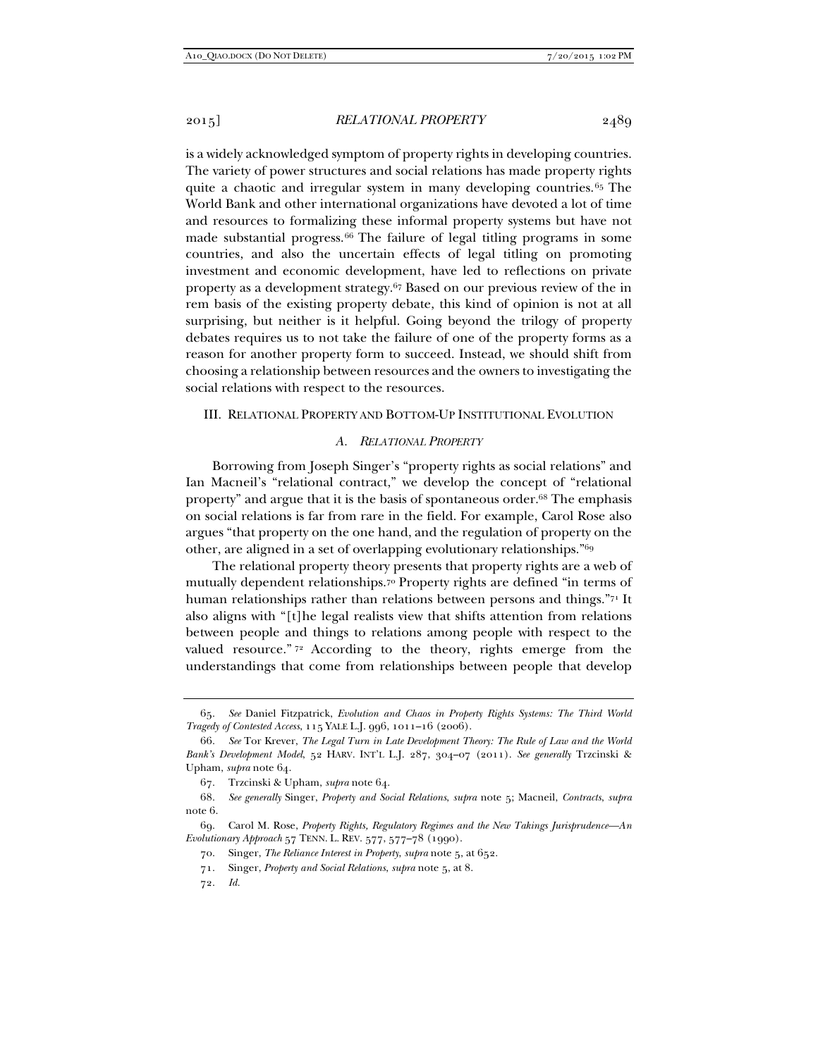is a widely acknowledged symptom of property rights in developing countries. The variety of power structures and social relations has made property rights quite a chaotic and irregular system in many developing countries.<sup>65</sup> The World Bank and other international organizations have devoted a lot of time and resources to formalizing these informal property systems but have not made substantial progress.66 The failure of legal titling programs in some countries, and also the uncertain effects of legal titling on promoting investment and economic development, have led to reflections on private property as a development strategy.67 Based on our previous review of the in rem basis of the existing property debate, this kind of opinion is not at all surprising, but neither is it helpful. Going beyond the trilogy of property debates requires us to not take the failure of one of the property forms as a reason for another property form to succeed. Instead, we should shift from choosing a relationship between resources and the owners to investigating the social relations with respect to the resources.

III. RELATIONAL PROPERTY AND BOTTOM-UP INSTITUTIONAL EVOLUTION

# *A. RELATIONAL PROPERTY*

Borrowing from Joseph Singer's "property rights as social relations" and Ian Macneil's "relational contract," we develop the concept of "relational property" and argue that it is the basis of spontaneous order.<sup>68</sup> The emphasis on social relations is far from rare in the field. For example, Carol Rose also argues "that property on the one hand, and the regulation of property on the other, are aligned in a set of overlapping evolutionary relationships."69

The relational property theory presents that property rights are a web of mutually dependent relationships.70 Property rights are defined "in terms of human relationships rather than relations between persons and things."71 It also aligns with "[t]he legal realists view that shifts attention from relations between people and things to relations among people with respect to the valued resource." 72 According to the theory, rights emerge from the understandings that come from relationships between people that develop

 <sup>65.</sup> *See* Daniel Fitzpatrick, *Evolution and Chaos in Property Rights Systems: The Third World Tragedy of Contested Access*, 115 YALE L.J. 996, 1011–16 (2006).

 <sup>66.</sup> *See* Tor Krever, *The Legal Turn in Late Development Theory: The Rule of Law and the World Bank's Development Model*, 52 HARV. INT'L L.J. 287, 304–07 (2011). *See generally* Trzcinski & Upham, *supra* note 64.

 <sup>67.</sup> Trzcinski & Upham, *supra* note 64.

 <sup>68.</sup> *See generally* Singer, *Property and Social Relations*, *supra* note 5; Macneil, *Contracts*, *supra*  note 6.

 <sup>69.</sup> Carol M. Rose, *Property Rights, Regulatory Regimes and the New Takings Jurisprudence—An Evolutionary Approach* 57 TENN. L. REV. 577, 577–78 (1990).

 <sup>70.</sup> Singer, *The Reliance Interest in Property*, *supra* note 5, at 652.

 <sup>71.</sup> Singer, *Property and Social Relations*, *supra* note 5, at 8.

 <sup>72.</sup> *Id.*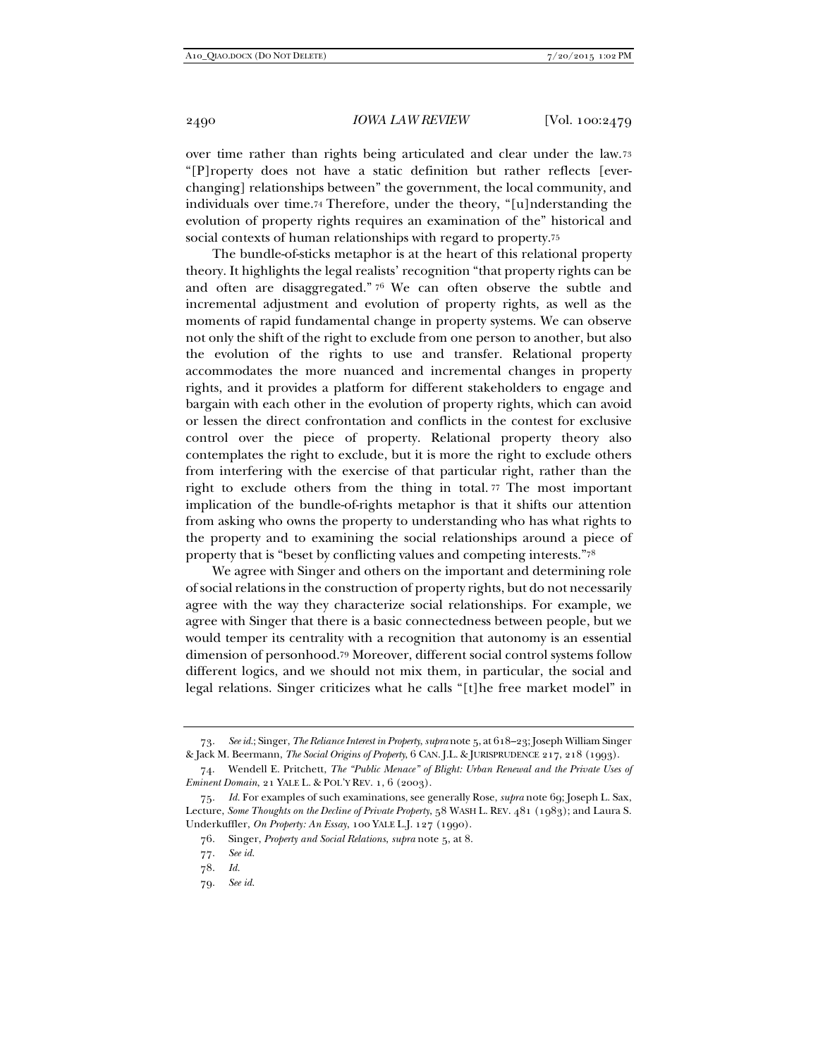over time rather than rights being articulated and clear under the law.73 "[P]roperty does not have a static definition but rather reflects [everchanging] relationships between" the government, the local community, and individuals over time.74 Therefore, under the theory, "[u]nderstanding the evolution of property rights requires an examination of the" historical and social contexts of human relationships with regard to property.75

The bundle-of-sticks metaphor is at the heart of this relational property theory. It highlights the legal realists' recognition "that property rights can be and often are disaggregated." 76 We can often observe the subtle and incremental adjustment and evolution of property rights, as well as the moments of rapid fundamental change in property systems. We can observe not only the shift of the right to exclude from one person to another, but also the evolution of the rights to use and transfer. Relational property accommodates the more nuanced and incremental changes in property rights, and it provides a platform for different stakeholders to engage and bargain with each other in the evolution of property rights, which can avoid or lessen the direct confrontation and conflicts in the contest for exclusive control over the piece of property. Relational property theory also contemplates the right to exclude, but it is more the right to exclude others from interfering with the exercise of that particular right, rather than the right to exclude others from the thing in total. 77 The most important implication of the bundle-of-rights metaphor is that it shifts our attention from asking who owns the property to understanding who has what rights to the property and to examining the social relationships around a piece of property that is "beset by conflicting values and competing interests."78

We agree with Singer and others on the important and determining role of social relations in the construction of property rights, but do not necessarily agree with the way they characterize social relationships. For example, we agree with Singer that there is a basic connectedness between people, but we would temper its centrality with a recognition that autonomy is an essential dimension of personhood.79 Moreover, different social control systems follow different logics, and we should not mix them, in particular, the social and legal relations. Singer criticizes what he calls "[t]he free market model" in

 <sup>73.</sup> *See id.*; Singer, *The Reliance Interest in Property*, *supra* note 5, at 618–23; Joseph William Singer & Jack M. Beermann, *The Social Origins of Property*, 6 CAN. J.L. & JURISPRUDENCE 217, 218 (1993).

 <sup>74.</sup> Wendell E. Pritchett, *The "Public Menace" of Blight: Urban Renewal and the Private Uses of Eminent Domain*, 21 YALE L. & POL'Y REV. 1, 6 (2003).

 <sup>75.</sup> *Id.* For examples of such examinations, see generally Rose, *supra* note 69; Joseph L. Sax, Lecture, *Some Thoughts on the Decline of Private Property*, 58 WASH L. REV. 481 (1983); and Laura S. Underkuffler, *On Property: An Essay*, 100 YALE L.J. 127 (1990).

 <sup>76.</sup> Singer, *Property and Social Relations*, *supra* note 5, at 8.

 <sup>77.</sup> *See id.*

 <sup>78.</sup> *Id.* 

 <sup>79.</sup> *See id.*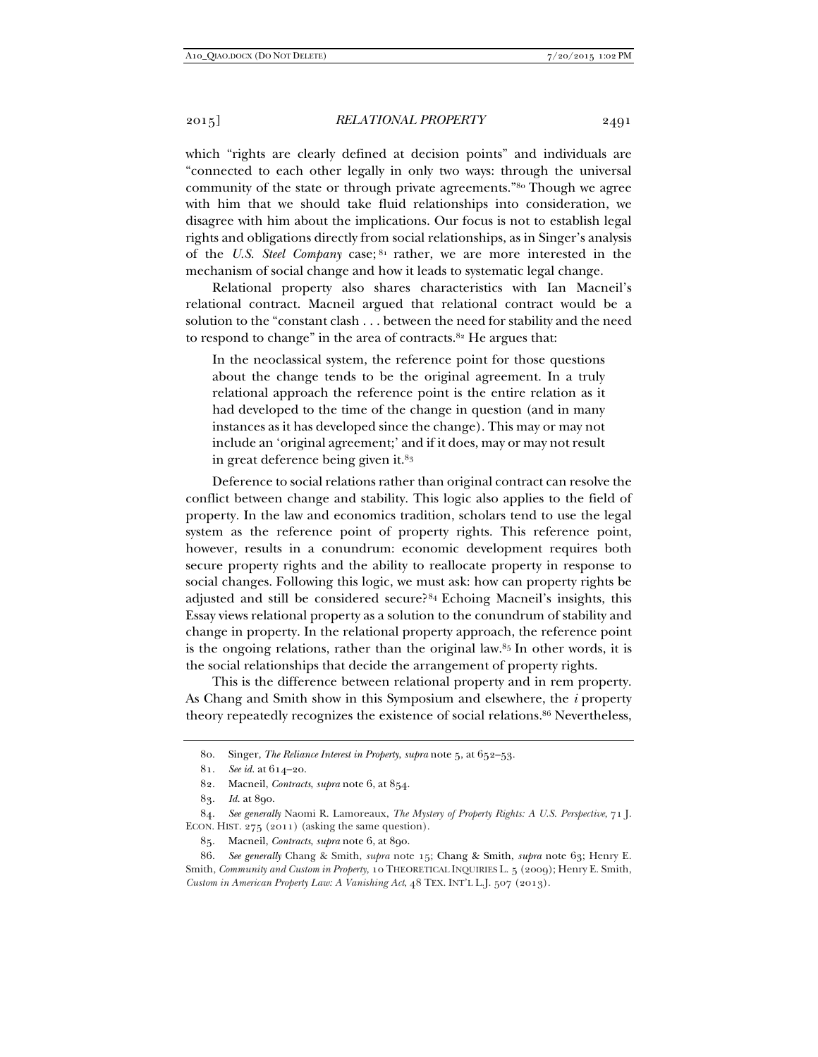which "rights are clearly defined at decision points" and individuals are "connected to each other legally in only two ways: through the universal community of the state or through private agreements."80 Though we agree with him that we should take fluid relationships into consideration, we disagree with him about the implications. Our focus is not to establish legal rights and obligations directly from social relationships, as in Singer's analysis of the *U.S. Steel Company* case; 81 rather, we are more interested in the mechanism of social change and how it leads to systematic legal change.

Relational property also shares characteristics with Ian Macneil's relational contract. Macneil argued that relational contract would be a solution to the "constant clash . . . between the need for stability and the need to respond to change" in the area of contracts.<sup>82</sup> He argues that:

In the neoclassical system, the reference point for those questions about the change tends to be the original agreement. In a truly relational approach the reference point is the entire relation as it had developed to the time of the change in question (and in many instances as it has developed since the change). This may or may not include an 'original agreement;' and if it does, may or may not result in great deference being given it.83

Deference to social relations rather than original contract can resolve the conflict between change and stability. This logic also applies to the field of property. In the law and economics tradition, scholars tend to use the legal system as the reference point of property rights. This reference point, however, results in a conundrum: economic development requires both secure property rights and the ability to reallocate property in response to social changes. Following this logic, we must ask: how can property rights be adjusted and still be considered secure?84 Echoing Macneil's insights, this Essay views relational property as a solution to the conundrum of stability and change in property. In the relational property approach, the reference point is the ongoing relations, rather than the original law.85 In other words, it is the social relationships that decide the arrangement of property rights.

This is the difference between relational property and in rem property. As Chang and Smith show in this Symposium and elsewhere, the *i* property theory repeatedly recognizes the existence of social relations.86 Nevertheless,

 <sup>80.</sup> Singer, *The Reliance Interest in Property*, *supra* note 5, at 652–53.

 <sup>81.</sup> *See id.* at 614–20.

 <sup>82.</sup> Macneil, *Contracts*, *supra* note 6, at 854.

 <sup>83.</sup> *Id.* at 890.

 <sup>84.</sup> *See generally* Naomi R. Lamoreaux, *The Mystery of Property Rights: A U.S. Perspective*, 71 J. ECON. HIST. 275 (2011) (asking the same question).

 <sup>85.</sup> Macneil, *Contracts*, *supra* note 6, at 890.

 <sup>86.</sup> *See generally* Chang & Smith, *supra* note 15; Chang & Smith, *supra* note 63; Henry E. Smith, *Community and Custom in Property*, 10 THEORETICAL INQUIRIES L. 5 (2009); Henry E. Smith, *Custom in American Property Law: A Vanishing Act*, 48 TEX. INT'L L.J. 507 (2013).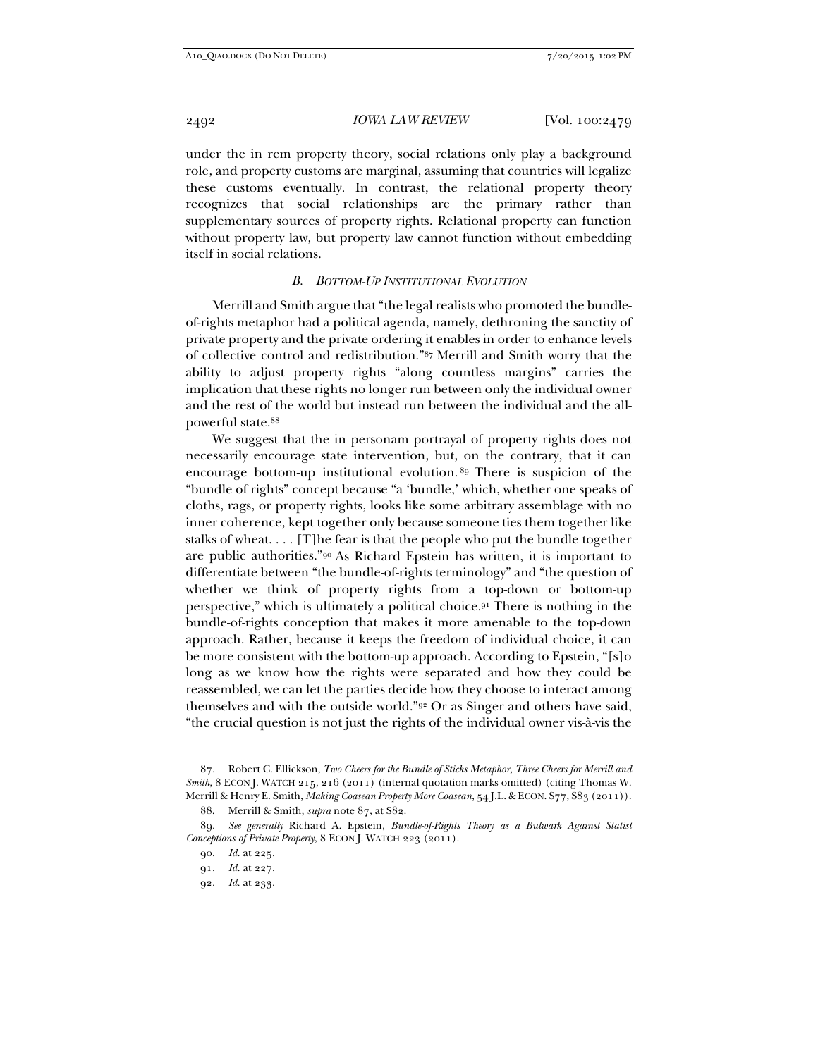under the in rem property theory, social relations only play a background role, and property customs are marginal, assuming that countries will legalize these customs eventually. In contrast, the relational property theory recognizes that social relationships are the primary rather than supplementary sources of property rights. Relational property can function without property law, but property law cannot function without embedding itself in social relations.

#### *B. BOTTOM-UP INSTITUTIONAL EVOLUTION*

Merrill and Smith argue that "the legal realists who promoted the bundleof-rights metaphor had a political agenda, namely, dethroning the sanctity of private property and the private ordering it enables in order to enhance levels of collective control and redistribution."87 Merrill and Smith worry that the ability to adjust property rights "along countless margins" carries the implication that these rights no longer run between only the individual owner and the rest of the world but instead run between the individual and the allpowerful state.88

We suggest that the in personam portrayal of property rights does not necessarily encourage state intervention, but, on the contrary, that it can encourage bottom-up institutional evolution. 89 There is suspicion of the "bundle of rights" concept because "a 'bundle,' which, whether one speaks of cloths, rags, or property rights, looks like some arbitrary assemblage with no inner coherence, kept together only because someone ties them together like stalks of wheat. . . . [T]he fear is that the people who put the bundle together are public authorities."90 As Richard Epstein has written, it is important to differentiate between "the bundle-of-rights terminology" and "the question of whether we think of property rights from a top-down or bottom-up perspective," which is ultimately a political choice.91 There is nothing in the bundle-of-rights conception that makes it more amenable to the top-down approach. Rather, because it keeps the freedom of individual choice, it can be more consistent with the bottom-up approach. According to Epstein, "[s]o long as we know how the rights were separated and how they could be reassembled, we can let the parties decide how they choose to interact among themselves and with the outside world."92 Or as Singer and others have said, "the crucial question is not just the rights of the individual owner vis-à-vis the

 <sup>87.</sup> Robert C. Ellickson, *Two Cheers for the Bundle of Sticks Metaphor, Three Cheers for Merrill and Smith*, 8 ECON J. WATCH 215, 216 (2011) (internal quotation marks omitted) (citing Thomas W. Merrill & Henry E. Smith, *Making Coasean Property More Coasean*, 54 J.L. & ECON. S77, S83 (2011)).

 <sup>88.</sup> Merrill & Smith, *supra* note 87, at S82.

 <sup>89.</sup> *See generally* Richard A. Epstein, *Bundle-of-Rights Theory as a Bulwark Against Statist Conceptions of Private Property*, 8 ECON J. WATCH 223 (2011).

 <sup>90.</sup> *Id.* at 225.

 <sup>91.</sup> *Id.* at 227.

 <sup>92.</sup> *Id.* at 233.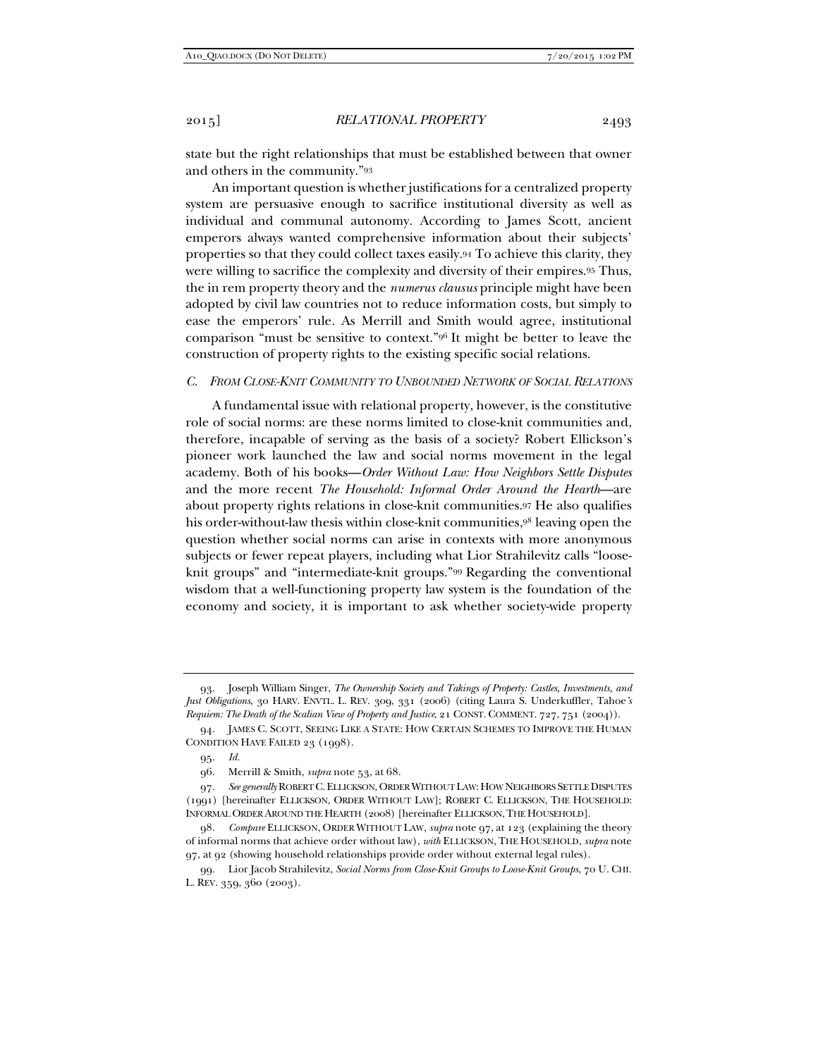state but the right relationships that must be established between that owner and others in the community."93

An important question is whether justifications for a centralized property system are persuasive enough to sacrifice institutional diversity as well as individual and communal autonomy. According to James Scott, ancient emperors always wanted comprehensive information about their subjects' properties so that they could collect taxes easily.94 To achieve this clarity, they were willing to sacrifice the complexity and diversity of their empires.95 Thus, the in rem property theory and the *numerus clausus* principle might have been adopted by civil law countries not to reduce information costs, but simply to ease the emperors' rule. As Merrill and Smith would agree, institutional comparison "must be sensitive to context."96 It might be better to leave the construction of property rights to the existing specific social relations.

#### *C. FROM CLOSE-KNIT COMMUNITY TO UNBOUNDED NETWORK OF SOCIAL RELATIONS*

A fundamental issue with relational property, however, is the constitutive role of social norms: are these norms limited to close-knit communities and, therefore, incapable of serving as the basis of a society? Robert Ellickson's pioneer work launched the law and social norms movement in the legal academy. Both of his books—*Order Without Law: How Neighbors Settle Disputes*  and the more recent *The Household: Informal Order Around the Hearth*—are about property rights relations in close-knit communities.97 He also qualifies his order-without-law thesis within close-knit communities,98 leaving open the question whether social norms can arise in contexts with more anonymous subjects or fewer repeat players, including what Lior Strahilevitz calls "looseknit groups" and "intermediate-knit groups."99 Regarding the conventional wisdom that a well-functioning property law system is the foundation of the economy and society, it is important to ask whether society-wide property

 <sup>93.</sup> Joseph William Singer, *The Ownership Society and Takings of Property: Castles, Investments, and Just Obligations*, 30 HARV. ENVTL. L. REV. 309, 331 (2006) (citing Laura S. Underkuffler, Tahoe*'s Requiem: The Death of the Scalian View of Property and Justice*, 21 CONST. COMMENT. 727, 751 (2004)).

 <sup>94.</sup> JAMES C. SCOTT, SEEING LIKE A STATE: HOW CERTAIN SCHEMES TO IMPROVE THE HUMAN CONDITION HAVE FAILED 23 (1998).

 <sup>95.</sup> *Id.*

 <sup>96.</sup> Merrill & Smith, *supra* note 53, at 68.

 <sup>97.</sup> *See generally* ROBERT C.ELLICKSON, ORDER WITHOUT LAW: HOW NEIGHBORS SETTLE DISPUTES (1991) [hereinafter ELLICKSON, ORDER WITHOUT LAW]; ROBERT C. ELLICKSON, THE HOUSEHOLD: INFORMAL ORDER AROUND THE HEARTH (2008) [hereinafter ELLICKSON,THE HOUSEHOLD].

 <sup>98.</sup> *Compare* ELLICKSON, ORDER WITHOUT LAW, *supra* note 97, at 123 (explaining the theory of informal norms that achieve order without law), *with* ELLICKSON, THE HOUSEHOLD, *supra* note 97, at 92 (showing household relationships provide order without external legal rules).

<sup>99.</sup> Lior Jacob Strahilevitz, *Social Norms from Close-Knit Groups to Loose-Knit Groups*, 70 U. CHI. L. REV. 359, 360 (2003).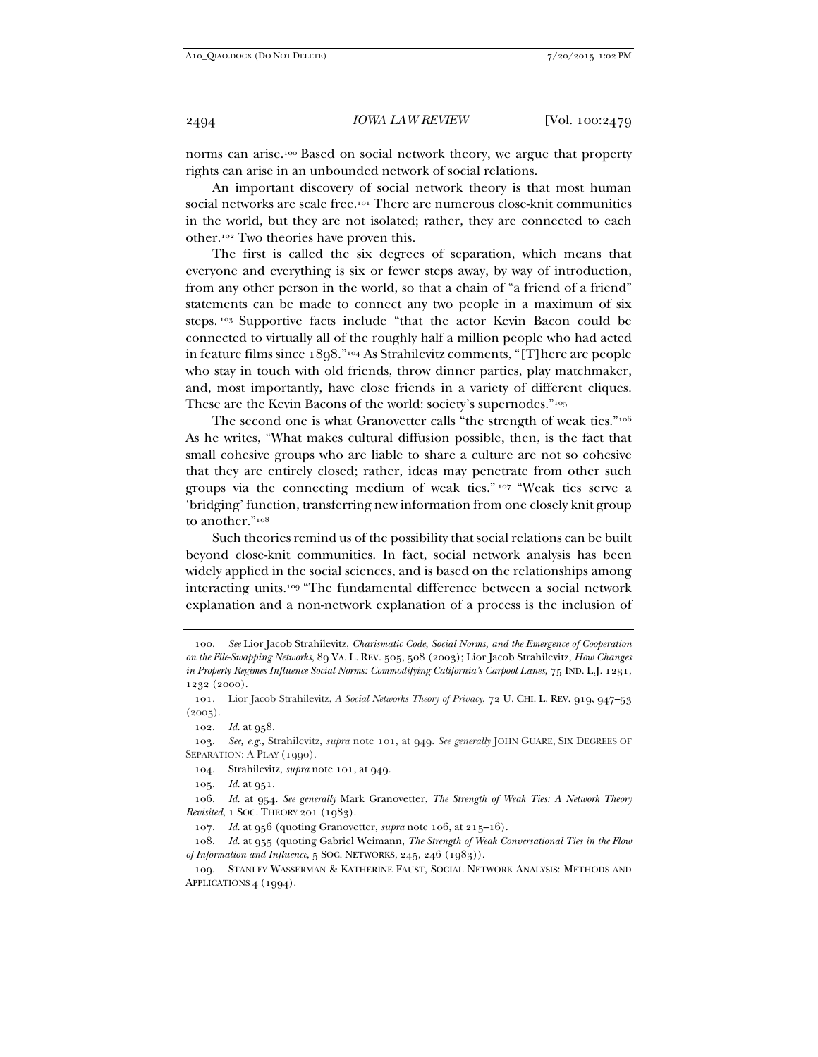norms can arise.100 Based on social network theory, we argue that property rights can arise in an unbounded network of social relations.

An important discovery of social network theory is that most human social networks are scale free.<sup>101</sup> There are numerous close-knit communities in the world, but they are not isolated; rather, they are connected to each other.102 Two theories have proven this.

The first is called the six degrees of separation, which means that everyone and everything is six or fewer steps away, by way of introduction, from any other person in the world, so that a chain of "a friend of a friend" statements can be made to connect any two people in a maximum of six steps. 103 Supportive facts include "that the actor Kevin Bacon could be connected to virtually all of the roughly half a million people who had acted in feature films since 1898."104 As Strahilevitz comments, "[T]here are people who stay in touch with old friends, throw dinner parties, play matchmaker, and, most importantly, have close friends in a variety of different cliques. These are the Kevin Bacons of the world: society's supernodes."105

The second one is what Granovetter calls "the strength of weak ties."<sup>106</sup> As he writes, "What makes cultural diffusion possible, then, is the fact that small cohesive groups who are liable to share a culture are not so cohesive that they are entirely closed; rather, ideas may penetrate from other such groups via the connecting medium of weak ties." 107 "Weak ties serve a 'bridging' function, transferring new information from one closely knit group to another."<sup>108</sup>

Such theories remind us of the possibility that social relations can be built beyond close-knit communities. In fact, social network analysis has been widely applied in the social sciences, and is based on the relationships among interacting units.109 "The fundamental difference between a social network explanation and a non-network explanation of a process is the inclusion of

105. *Id.* at 951.

 106. *Id.* at 954. *See generally* Mark Granovetter, *The Strength of Weak Ties: A Network Theory Revisited*, 1 SOC. THEORY 201 (1983).

107. *Id.* at 956 (quoting Granovetter, *supra* note 106, at 215–16).

 108. *Id.* at 955 (quoting Gabriel Weimann, *The Strength of Weak Conversational Ties in the Flow of Information and Influence*, 5 SOC. NETWORKS, 245, 246 (1983)).

STANLEY WASSERMAN & KATHERINE FAUST, SOCIAL NETWORK ANALYSIS: METHODS AND APPLICATIONS  $4(1994)$ .

 <sup>100.</sup> *See* Lior Jacob Strahilevitz, *Charismatic Code, Social Norms, and the Emergence of Cooperation on the File-Swapping Networks*, 89 VA. L. REV. 505, 508 (2003); Lior Jacob Strahilevitz, *How Changes in Property Regimes Influence Social Norms: Commodifying California's Carpool Lanes*, 75 IND. L.J. 1231, 1232 (2000).

<sup>101.</sup> Lior Jacob Strahilevitz, *A Social Networks Theory of Privacy*, 72 U. CHI. L. REV. 919, 947–53  $(2005)$ .

 <sup>102.</sup> *Id.* at 958.

 <sup>103.</sup> *See, e.g.,* Strahilevitz, *supra* note 101, at 949. *See generally* JOHN GUARE, SIX DEGREES OF SEPARATION: A PLAY (1990).

 <sup>104.</sup> Strahilevitz, *supra* note 101, at 949.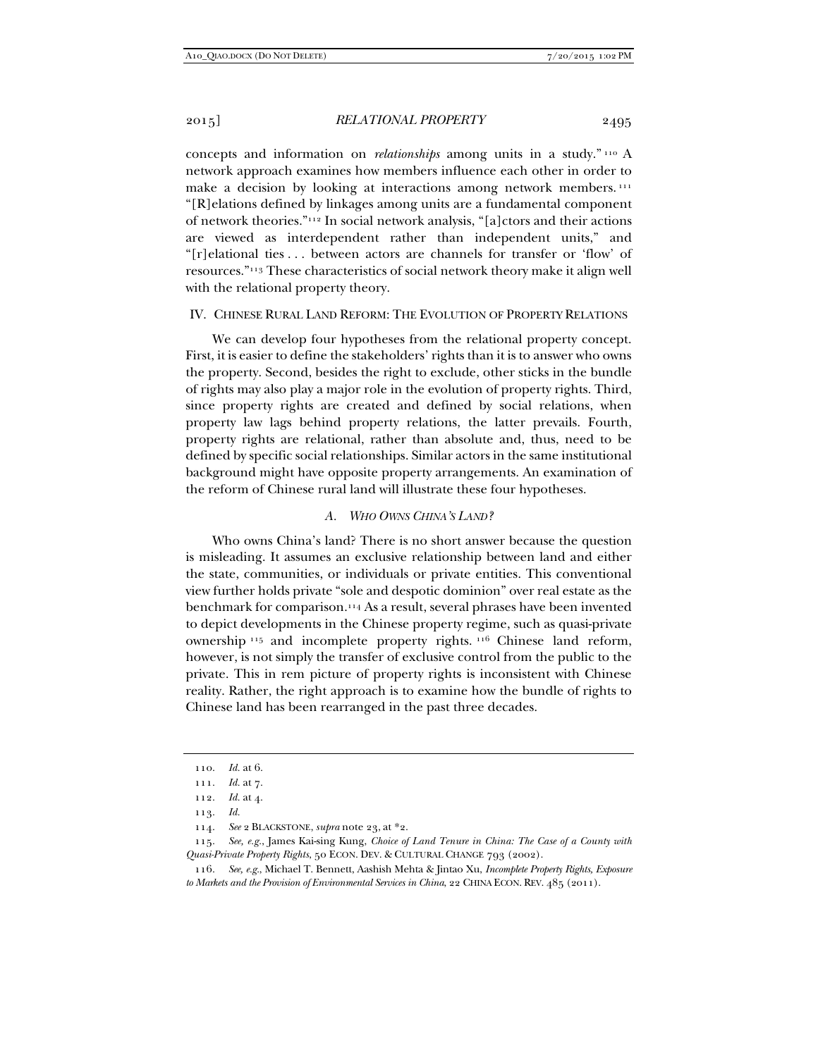concepts and information on *relationships* among units in a study." 110 A network approach examines how members influence each other in order to make a decision by looking at interactions among network members.<sup>111</sup> "[R]elations defined by linkages among units are a fundamental component of network theories."112 In social network analysis, "[a]ctors and their actions are viewed as interdependent rather than independent units," and "[r]elational ties . . . between actors are channels for transfer or 'flow' of resources."113 These characteristics of social network theory make it align well with the relational property theory.

# IV. CHINESE RURAL LAND REFORM: THE EVOLUTION OF PROPERTY RELATIONS

We can develop four hypotheses from the relational property concept. First, it is easier to define the stakeholders' rights than it is to answer who owns the property. Second, besides the right to exclude, other sticks in the bundle of rights may also play a major role in the evolution of property rights. Third, since property rights are created and defined by social relations, when property law lags behind property relations, the latter prevails. Fourth, property rights are relational, rather than absolute and, thus, need to be defined by specific social relationships. Similar actors in the same institutional background might have opposite property arrangements. An examination of the reform of Chinese rural land will illustrate these four hypotheses.

## *A. WHO OWNS CHINA'S LAND?*

Who owns China's land? There is no short answer because the question is misleading. It assumes an exclusive relationship between land and either the state, communities, or individuals or private entities. This conventional view further holds private "sole and despotic dominion" over real estate as the benchmark for comparison.114 As a result, several phrases have been invented to depict developments in the Chinese property regime, such as quasi-private ownership 115 and incomplete property rights. 116 Chinese land reform, however, is not simply the transfer of exclusive control from the public to the private. This in rem picture of property rights is inconsistent with Chinese reality. Rather, the right approach is to examine how the bundle of rights to Chinese land has been rearranged in the past three decades.

 <sup>110.</sup> *Id.* at 6.

 <sup>111.</sup> *Id.* at 7.

 <sup>112.</sup> *Id.* at 4.

 <sup>113.</sup> *Id.*

 <sup>114.</sup> *See* 2 BLACKSTONE, *supra* note 23, at \*2.

 <sup>115.</sup> *See, e.g.*, James Kai-sing Kung, *Choice of Land Tenure in China: The Case of a County with Quasi-Private Property Rights*, 50 ECON. DEV. & CULTURAL CHANGE 793 (2002).

 <sup>116.</sup> *See, e.g.*, Michael T. Bennett, Aashish Mehta & Jintao Xu, *Incomplete Property Rights, Exposure to Markets and the Provision of Environmental Services in China*, 22 CHINA ECON. REV. 485 (2011).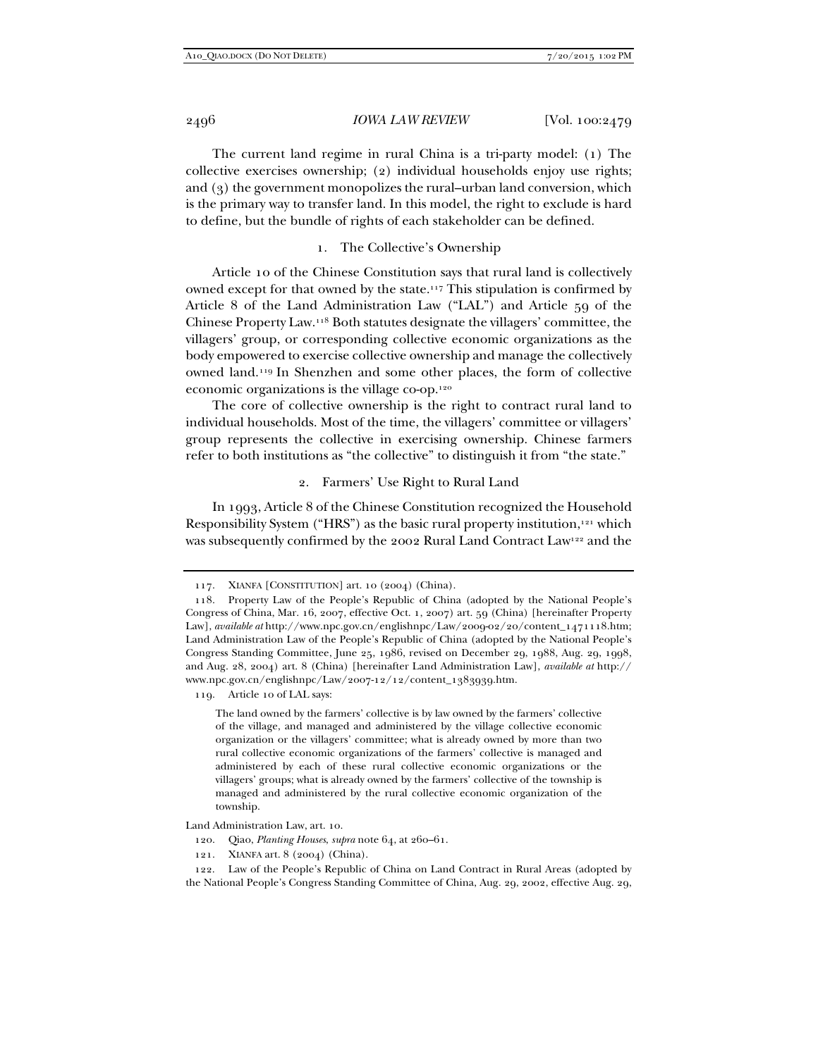The current land regime in rural China is a tri-party model: (1) The collective exercises ownership; (2) individual households enjoy use rights; and (3) the government monopolizes the rural–urban land conversion, which is the primary way to transfer land. In this model, the right to exclude is hard to define, but the bundle of rights of each stakeholder can be defined.

## 1. The Collective's Ownership

Article 10 of the Chinese Constitution says that rural land is collectively owned except for that owned by the state.117 This stipulation is confirmed by Article 8 of the Land Administration Law ("LAL") and Article 59 of the Chinese Property Law.118 Both statutes designate the villagers' committee, the villagers' group, or corresponding collective economic organizations as the body empowered to exercise collective ownership and manage the collectively owned land.119 In Shenzhen and some other places, the form of collective economic organizations is the village co-op.120

The core of collective ownership is the right to contract rural land to individual households. Most of the time, the villagers' committee or villagers' group represents the collective in exercising ownership. Chinese farmers refer to both institutions as "the collective" to distinguish it from "the state."

## 2. Farmers' Use Right to Rural Land

In 1993, Article 8 of the Chinese Constitution recognized the Household Responsibility System ("HRS") as the basic rural property institution,121 which was subsequently confirmed by the 2002 Rural Land Contract Law<sup>122</sup> and the

119. Article 10 of LAL says:

The land owned by the farmers' collective is by law owned by the farmers' collective of the village, and managed and administered by the village collective economic organization or the villagers' committee; what is already owned by more than two rural collective economic organizations of the farmers' collective is managed and administered by each of these rural collective economic organizations or the villagers' groups; what is already owned by the farmers' collective of the township is managed and administered by the rural collective economic organization of the township.

Land Administration Law, art. 10.

 <sup>117.</sup> XIANFA [CONSTITUTION] art. 10 (2004) (China).

 <sup>118.</sup> Property Law of the People's Republic of China (adopted by the National People's Congress of China, Mar. 16, 2007, effective Oct. 1, 2007) art. 59 (China) [hereinafter Property Law], *available at* http://www.npc.gov.cn/englishnpc/Law/2009-02/20/content\_1471118.htm; Land Administration Law of the People's Republic of China (adopted by the National People's Congress Standing Committee, June 25, 1986, revised on December 29, 1988, Aug. 29, 1998, and Aug. 28, 2004) art. 8 (China) [hereinafter Land Administration Law], *available at* http:// www.npc.gov.cn/englishnpc/Law/2007-12/12/content\_1383939.htm.

 <sup>120.</sup> Qiao, *Planting Houses*, *supra* note 64, at 260–61.

 <sup>121.</sup> XIANFA art. 8 (2004) (China).

Law of the People's Republic of China on Land Contract in Rural Areas (adopted by the National People's Congress Standing Committee of China, Aug. 29, 2002, effective Aug. 29,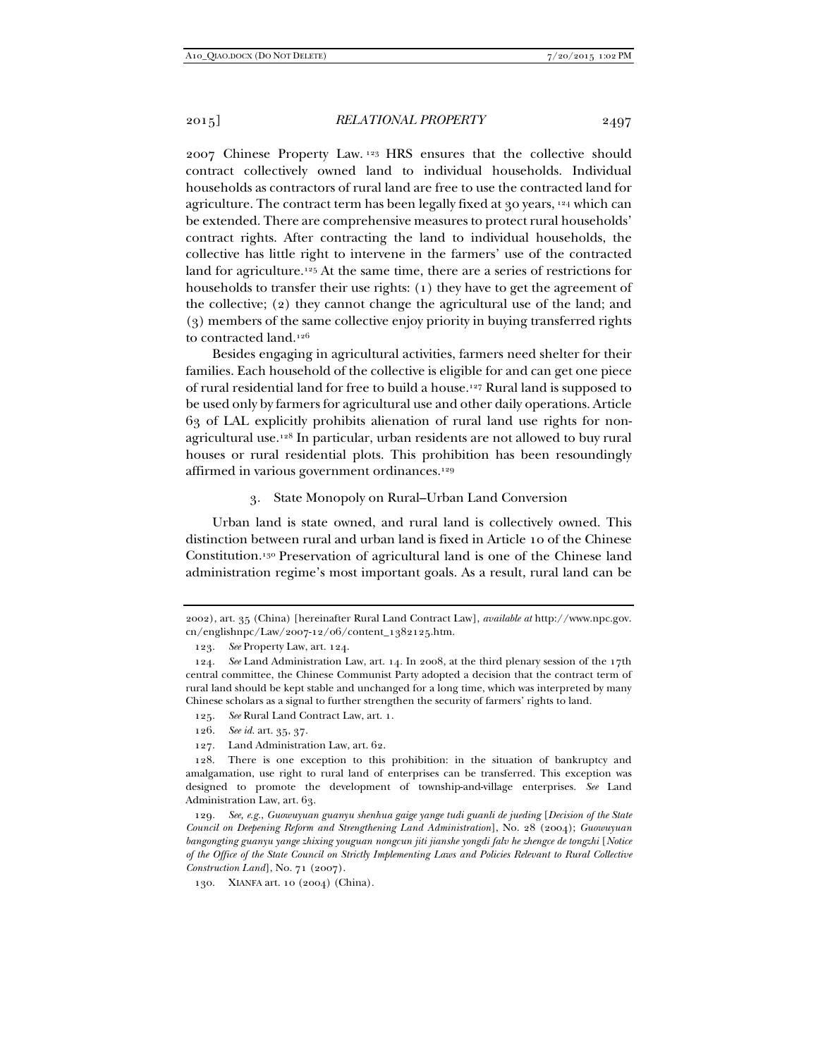2007 Chinese Property Law. 123 HRS ensures that the collective should contract collectively owned land to individual households. Individual households as contractors of rural land are free to use the contracted land for agriculture. The contract term has been legally fixed at 30 years,  $124$  which can be extended. There are comprehensive measures to protect rural households' contract rights. After contracting the land to individual households, the collective has little right to intervene in the farmers' use of the contracted land for agriculture.125 At the same time, there are a series of restrictions for households to transfer their use rights: (1) they have to get the agreement of the collective; (2) they cannot change the agricultural use of the land; and (3) members of the same collective enjoy priority in buying transferred rights to contracted land.126

Besides engaging in agricultural activities, farmers need shelter for their families. Each household of the collective is eligible for and can get one piece of rural residential land for free to build a house.127 Rural land is supposed to be used only by farmers for agricultural use and other daily operations. Article 63 of LAL explicitly prohibits alienation of rural land use rights for nonagricultural use.128 In particular, urban residents are not allowed to buy rural houses or rural residential plots. This prohibition has been resoundingly affirmed in various government ordinances.129

## 3. State Monopoly on Rural–Urban Land Conversion

Urban land is state owned, and rural land is collectively owned. This distinction between rural and urban land is fixed in Article 10 of the Chinese Constitution.130 Preservation of agricultural land is one of the Chinese land administration regime's most important goals. As a result, rural land can be

<sup>2002),</sup> art. 35 (China) [hereinafter Rural Land Contract Law], *available at* http://www.npc.gov. cn/englishnpc/Law/2007-12/06/content\_1382125.htm.

 <sup>123.</sup> *See* Property Law, art. 124.

 <sup>124.</sup> *See* Land Administration Law, art. 14. In 2008, at the third plenary session of the 17th central committee, the Chinese Communist Party adopted a decision that the contract term of rural land should be kept stable and unchanged for a long time, which was interpreted by many Chinese scholars as a signal to further strengthen the security of farmers' rights to land.

 <sup>125.</sup> *See* Rural Land Contract Law, art. 1.

 <sup>126.</sup> *See id.* art. 35, 37.

 <sup>127.</sup> Land Administration Law, art. 62.

 <sup>128.</sup> There is one exception to this prohibition: in the situation of bankruptcy and amalgamation, use right to rural land of enterprises can be transferred. This exception was designed to promote the development of township-and-village enterprises. *See* Land Administration Law, art. 63.

<sup>129</sup>*. See, e.g.*, *Guowuyuan guanyu shenhua gaige yange tudi guanli de jueding* [*Decision of the State Council on Deepening Reform and Strengthening Land Administration*], No. 28 (2004); *Guowuyuan bangongting guanyu yange zhixing youguan nongcun jiti jianshe yongdi falv he zhengce de tongzhi* [*Notice of the Office of the State Council on Strictly Implementing Laws and Policies Relevant to Rural Collective Construction Land*], No. 71 (2007).

 <sup>130.</sup> XIANFA art. 10 (2004) (China).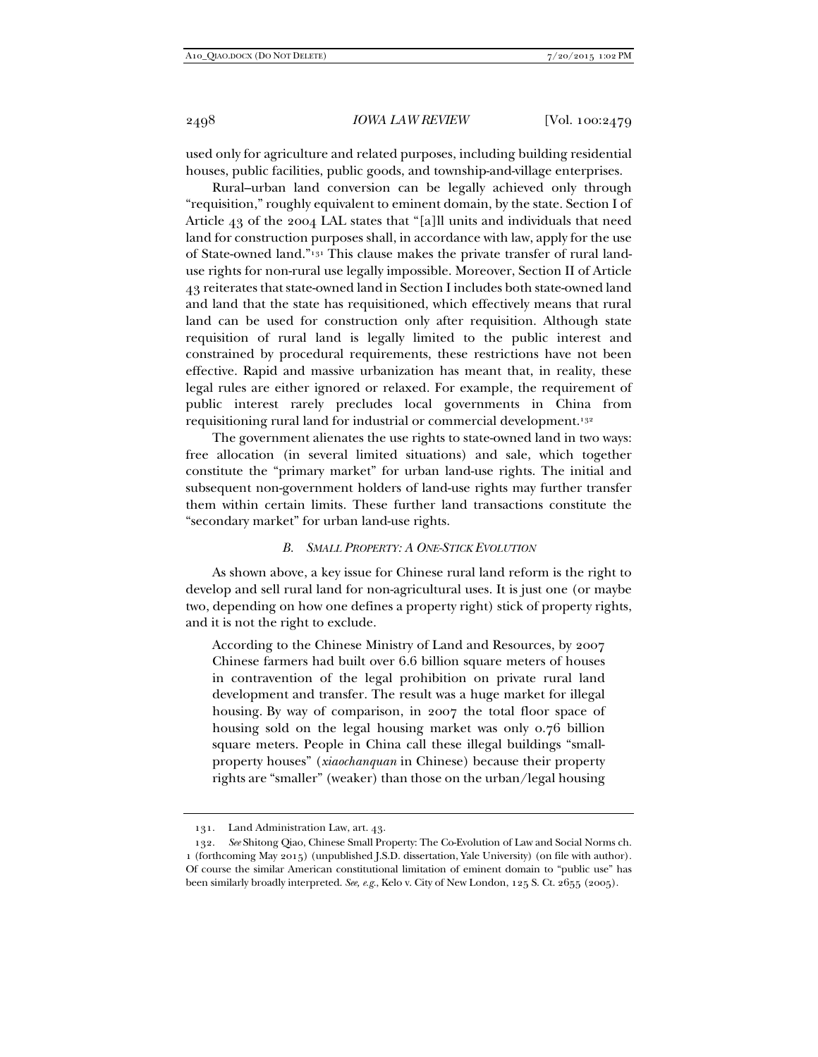used only for agriculture and related purposes, including building residential houses, public facilities, public goods, and township-and-village enterprises.

Rural–urban land conversion can be legally achieved only through "requisition," roughly equivalent to eminent domain, by the state. Section I of Article 43 of the 2004 LAL states that "[a]ll units and individuals that need land for construction purposes shall, in accordance with law, apply for the use of State-owned land."131 This clause makes the private transfer of rural landuse rights for non-rural use legally impossible. Moreover, Section II of Article 43 reiterates that state-owned land in Section I includes both state-owned land and land that the state has requisitioned, which effectively means that rural land can be used for construction only after requisition. Although state requisition of rural land is legally limited to the public interest and constrained by procedural requirements, these restrictions have not been effective. Rapid and massive urbanization has meant that, in reality, these legal rules are either ignored or relaxed. For example, the requirement of public interest rarely precludes local governments in China from requisitioning rural land for industrial or commercial development.132

The government alienates the use rights to state-owned land in two ways: free allocation (in several limited situations) and sale, which together constitute the "primary market" for urban land-use rights. The initial and subsequent non-government holders of land-use rights may further transfer them within certain limits. These further land transactions constitute the "secondary market" for urban land-use rights.

## *B. SMALL PROPERTY: A ONE-STICK EVOLUTION*

As shown above, a key issue for Chinese rural land reform is the right to develop and sell rural land for non-agricultural uses. It is just one (or maybe two, depending on how one defines a property right) stick of property rights, and it is not the right to exclude.

According to the Chinese Ministry of Land and Resources, by 2007 Chinese farmers had built over 6.6 billion square meters of houses in contravention of the legal prohibition on private rural land development and transfer. The result was a huge market for illegal housing. By way of comparison, in 2007 the total floor space of housing sold on the legal housing market was only 0.76 billion square meters. People in China call these illegal buildings "smallproperty houses" (*xiaochanquan* in Chinese) because their property rights are "smaller" (weaker) than those on the urban/legal housing

 <sup>131.</sup> Land Administration Law, art. 43.

 <sup>132.</sup> *See* Shitong Qiao, Chinese Small Property: The Co-Evolution of Law and Social Norms ch. 1 (forthcoming May 2015) (unpublished J.S.D. dissertation, Yale University) (on file with author). Of course the similar American constitutional limitation of eminent domain to "public use" has been similarly broadly interpreted. *See, e.g.*, Kelo v. City of New London, 125 S. Ct. 2655 (2005).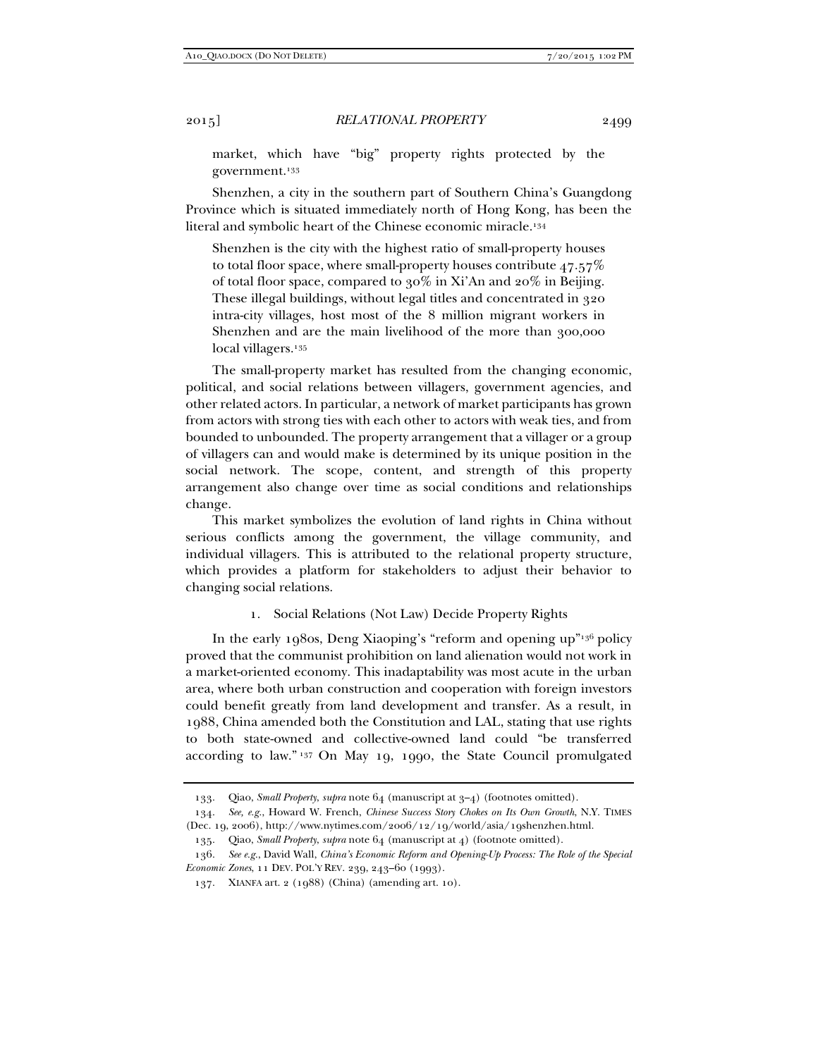market, which have "big" property rights protected by the government.133

Shenzhen, a city in the southern part of Southern China's Guangdong Province which is situated immediately north of Hong Kong, has been the literal and symbolic heart of the Chinese economic miracle.134

Shenzhen is the city with the highest ratio of small-property houses to total floor space, where small-property houses contribute 47.57% of total floor space, compared to 30% in Xi'An and 20% in Beijing. These illegal buildings, without legal titles and concentrated in 320 intra-city villages, host most of the 8 million migrant workers in Shenzhen and are the main livelihood of the more than 300,000 local villagers.<sup>135</sup>

The small-property market has resulted from the changing economic, political, and social relations between villagers, government agencies, and other related actors. In particular, a network of market participants has grown from actors with strong ties with each other to actors with weak ties, and from bounded to unbounded. The property arrangement that a villager or a group of villagers can and would make is determined by its unique position in the social network. The scope, content, and strength of this property arrangement also change over time as social conditions and relationships change.

This market symbolizes the evolution of land rights in China without serious conflicts among the government, the village community, and individual villagers. This is attributed to the relational property structure, which provides a platform for stakeholders to adjust their behavior to changing social relations.

# 1. Social Relations (Not Law) Decide Property Rights

In the early 1980s, Deng Xiaoping's "reform and opening up"136 policy proved that the communist prohibition on land alienation would not work in a market-oriented economy. This inadaptability was most acute in the urban area, where both urban construction and cooperation with foreign investors could benefit greatly from land development and transfer. As a result, in 1988, China amended both the Constitution and LAL, stating that use rights to both state-owned and collective-owned land could "be transferred according to law." 137 On May 19, 1990, the State Council promulgated

 <sup>133.</sup> Qiao, *Small Property*, *supra* note 64 (manuscript at 3–4) (footnotes omitted).

 <sup>134.</sup> *See, e.g.*, Howard W. French, *Chinese Success Story Chokes on Its Own Growth*, N.Y. TIMES (Dec. 19, 2006), http://www.nytimes.com/2006/12/19/world/asia/19shenzhen.html.

 <sup>135.</sup> Qiao, *Small Property*, *supra* note 64 (manuscript at 4) (footnote omitted).

 <sup>136.</sup> *See e.g.*, David Wall, *China's Economic Reform and Opening‐Up Process: The Role of the Special Economic Zones*, 11 DEV. POL'Y REV. 239, 243–60 (1993).

 <sup>137.</sup> XIANFA art. 2 (1988) (China) (amending art. 10).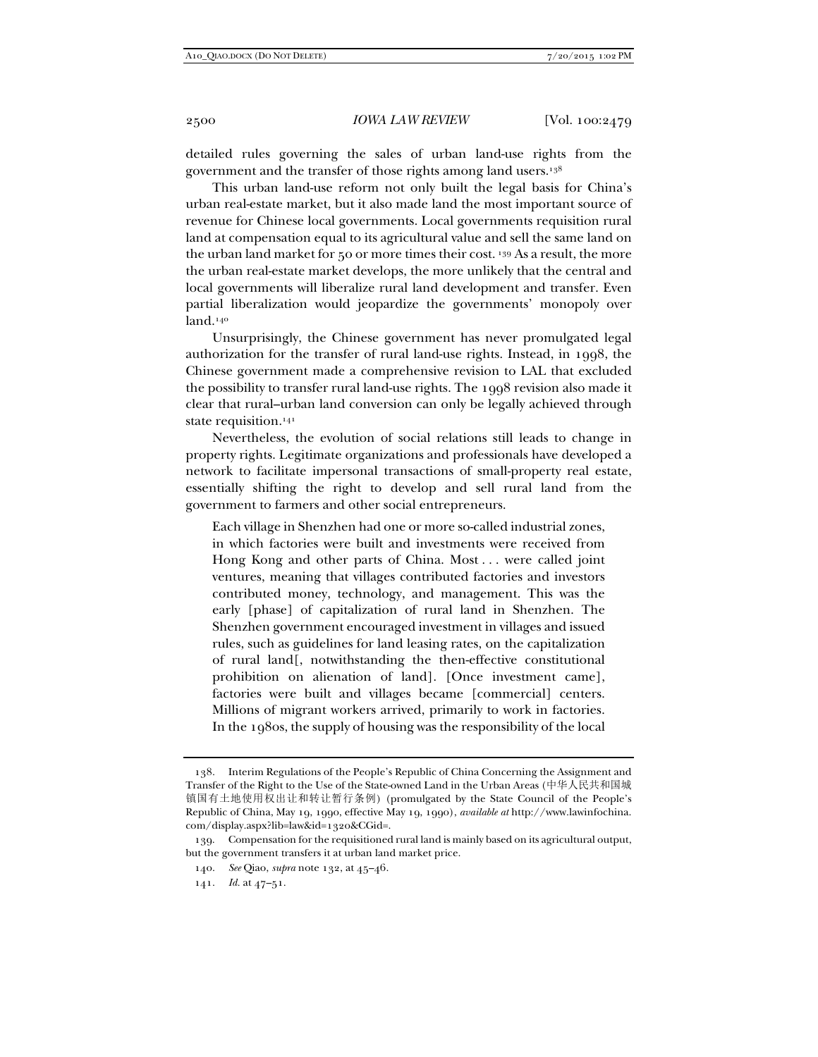detailed rules governing the sales of urban land-use rights from the government and the transfer of those rights among land users.138

This urban land-use reform not only built the legal basis for China's urban real-estate market, but it also made land the most important source of revenue for Chinese local governments. Local governments requisition rural land at compensation equal to its agricultural value and sell the same land on the urban land market for 50 or more times their cost. 139 As a result, the more the urban real-estate market develops, the more unlikely that the central and local governments will liberalize rural land development and transfer. Even partial liberalization would jeopardize the governments' monopoly over land.140

Unsurprisingly, the Chinese government has never promulgated legal authorization for the transfer of rural land-use rights. Instead, in 1998, the Chinese government made a comprehensive revision to LAL that excluded the possibility to transfer rural land-use rights. The 1998 revision also made it clear that rural–urban land conversion can only be legally achieved through state requisition.<sup>141</sup>

Nevertheless, the evolution of social relations still leads to change in property rights. Legitimate organizations and professionals have developed a network to facilitate impersonal transactions of small-property real estate, essentially shifting the right to develop and sell rural land from the government to farmers and other social entrepreneurs.

Each village in Shenzhen had one or more so-called industrial zones, in which factories were built and investments were received from Hong Kong and other parts of China. Most . . . were called joint ventures, meaning that villages contributed factories and investors contributed money, technology, and management. This was the early [phase] of capitalization of rural land in Shenzhen. The Shenzhen government encouraged investment in villages and issued rules, such as guidelines for land leasing rates, on the capitalization of rural land[, notwithstanding the then-effective constitutional prohibition on alienation of land]. [Once investment came], factories were built and villages became [commercial] centers. Millions of migrant workers arrived, primarily to work in factories. In the 1980s, the supply of housing was the responsibility of the local

 <sup>138.</sup> Interim Regulations of the People's Republic of China Concerning the Assignment and Transfer of the Right to the Use of the State-owned Land in the Urban Areas (中华人民共和国城 镇国有土地使用权出让和转让暂行条例) (promulgated by the State Council of the People's Republic of China, May 19, 1990, effective May 19, 1990), *available at* http://www.lawinfochina. com/display.aspx?lib=law&id=1320&CGid=.

 <sup>139.</sup> Compensation for the requisitioned rural land is mainly based on its agricultural output, but the government transfers it at urban land market price.

 <sup>140.</sup> *See* Qiao, *supra* note 132, at 45–46.

 <sup>141.</sup> *Id.* at 47–51.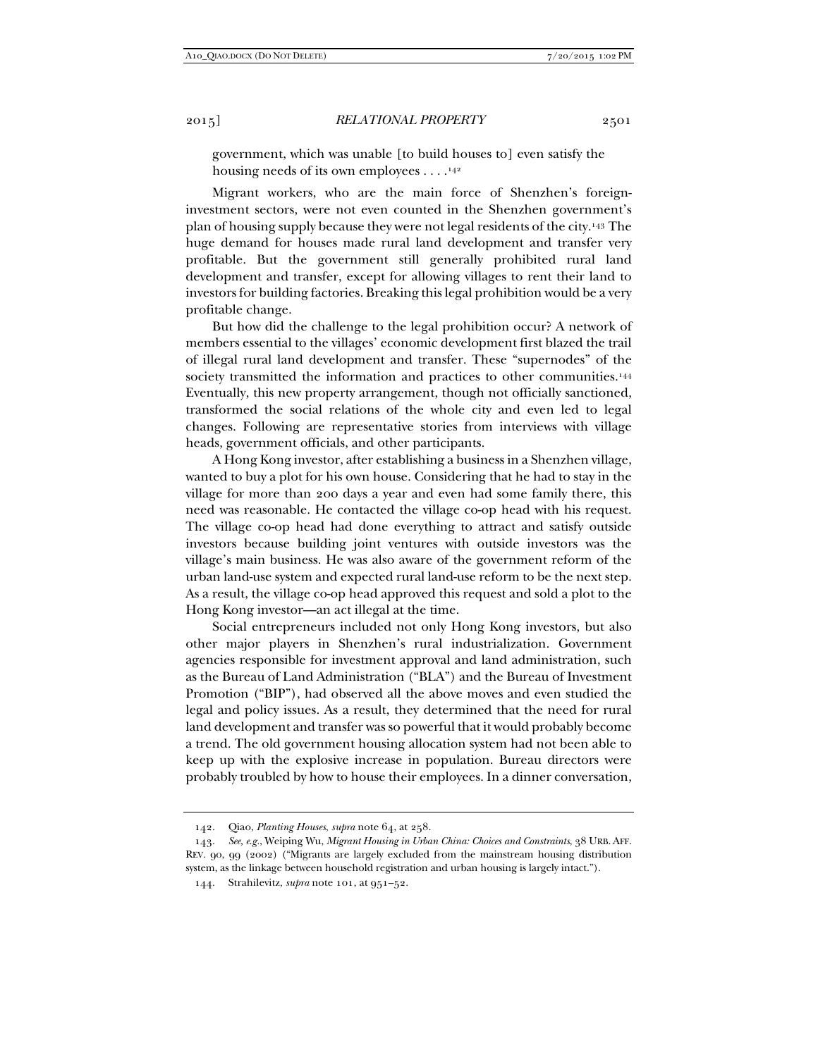government, which was unable [to build houses to] even satisfy the housing needs of its own employees . . . .  $142$ 

Migrant workers, who are the main force of Shenzhen's foreigninvestment sectors, were not even counted in the Shenzhen government's plan of housing supply because they were not legal residents of the city.143 The huge demand for houses made rural land development and transfer very profitable. But the government still generally prohibited rural land development and transfer, except for allowing villages to rent their land to investors for building factories. Breaking this legal prohibition would be a very profitable change.

But how did the challenge to the legal prohibition occur? A network of members essential to the villages' economic development first blazed the trail of illegal rural land development and transfer. These "supernodes" of the society transmitted the information and practices to other communities.<sup>144</sup> Eventually, this new property arrangement, though not officially sanctioned, transformed the social relations of the whole city and even led to legal changes. Following are representative stories from interviews with village heads, government officials, and other participants.

A Hong Kong investor, after establishing a business in a Shenzhen village, wanted to buy a plot for his own house. Considering that he had to stay in the village for more than 200 days a year and even had some family there, this need was reasonable. He contacted the village co-op head with his request. The village co-op head had done everything to attract and satisfy outside investors because building joint ventures with outside investors was the village's main business. He was also aware of the government reform of the urban land-use system and expected rural land-use reform to be the next step. As a result, the village co-op head approved this request and sold a plot to the Hong Kong investor—an act illegal at the time.

Social entrepreneurs included not only Hong Kong investors, but also other major players in Shenzhen's rural industrialization. Government agencies responsible for investment approval and land administration, such as the Bureau of Land Administration ("BLA") and the Bureau of Investment Promotion ("BIP"), had observed all the above moves and even studied the legal and policy issues. As a result, they determined that the need for rural land development and transfer was so powerful that it would probably become a trend. The old government housing allocation system had not been able to keep up with the explosive increase in population. Bureau directors were probably troubled by how to house their employees. In a dinner conversation,

 <sup>142.</sup> Qiao, *Planting Houses*, *supra* note 64, at 258.

 <sup>143.</sup> *See, e.g.*, Weiping Wu, *Migrant Housing in Urban China: Choices and Constraints*, 38 URB. AFF. REV. 90, 99 (2002) ("Migrants are largely excluded from the mainstream housing distribution system, as the linkage between household registration and urban housing is largely intact.").

 <sup>144.</sup> Strahilevitz, *supra* note 101, at 951–52.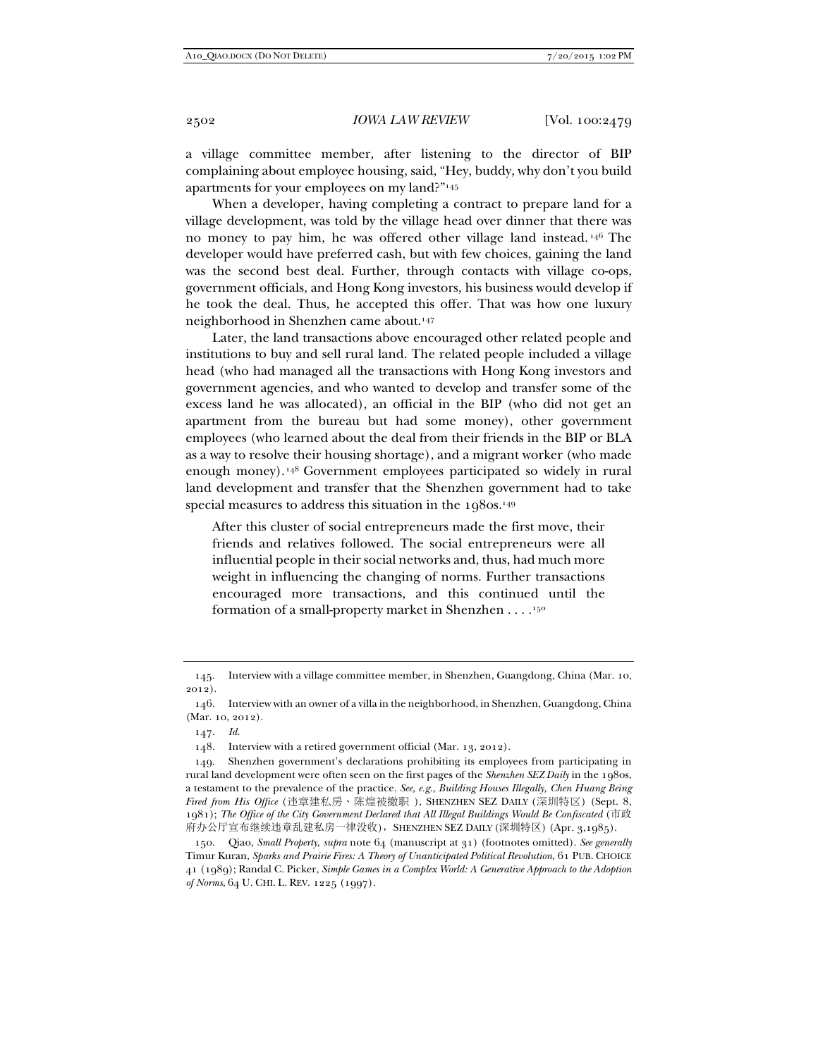a village committee member, after listening to the director of BIP complaining about employee housing, said, "Hey, buddy, why don't you build apartments for your employees on my land?"145

When a developer, having completing a contract to prepare land for a village development, was told by the village head over dinner that there was no money to pay him, he was offered other village land instead. 146 The developer would have preferred cash, but with few choices, gaining the land was the second best deal. Further, through contacts with village co-ops, government officials, and Hong Kong investors, his business would develop if he took the deal. Thus, he accepted this offer. That was how one luxury neighborhood in Shenzhen came about.147

Later, the land transactions above encouraged other related people and institutions to buy and sell rural land. The related people included a village head (who had managed all the transactions with Hong Kong investors and government agencies, and who wanted to develop and transfer some of the excess land he was allocated), an official in the BIP (who did not get an apartment from the bureau but had some money), other government employees (who learned about the deal from their friends in the BIP or BLA as a way to resolve their housing shortage), and a migrant worker (who made enough money).148 Government employees participated so widely in rural land development and transfer that the Shenzhen government had to take special measures to address this situation in the  $1080s.^{149}$ 

After this cluster of social entrepreneurs made the first move, their friends and relatives followed. The social entrepreneurs were all influential people in their social networks and, thus, had much more weight in influencing the changing of norms. Further transactions encouraged more transactions, and this continued until the formation of a small-property market in Shenzhen . . . .150

 <sup>145.</sup> Interview with a village committee member, in Shenzhen, Guangdong, China (Mar. 10, 2012).

 <sup>146.</sup> Interview with an owner of a villa in the neighborhood, in Shenzhen, Guangdong, China (Mar. 10, 2012).

 <sup>147.</sup> *Id.*

 <sup>148.</sup> Interview with a retired government official (Mar. 13, 2012).

 <sup>149.</sup> Shenzhen government's declarations prohibiting its employees from participating in rural land development were often seen on the first pages of the *Shenzhen SEZ Daily* in the 1980s, a testament to the prevalence of the practice. *See, e.g.*, *Building Houses Illegally, Chen Huang Being Fired from His Office* (违章建私房、陈煌被撤职 ), SHENZHEN SEZ DAILY (深圳特区) (Sept. 8, 1981); *The Office of the City Government Declared that All Illegal Buildings Would Be Confiscated* (市政 府办公厅宣布继续违章乱建私房一律没收), SHENZHEN SEZ DAILY (深圳特区) (Apr. 3,1985).

 <sup>150.</sup> Qiao, *Small Property*, *supra* note 64 (manuscript at 31) (footnotes omitted). *See generally*  Timur Kuran, *Sparks and Prairie Fires: A Theory of Unanticipated Political Revolution*, 61 PUB. CHOICE 41 (1989); Randal C. Picker, *Simple Games in a Complex World: A Generative Approach to the Adoption of Norms*, 64 U. CHI. L. REV. 1225 (1997).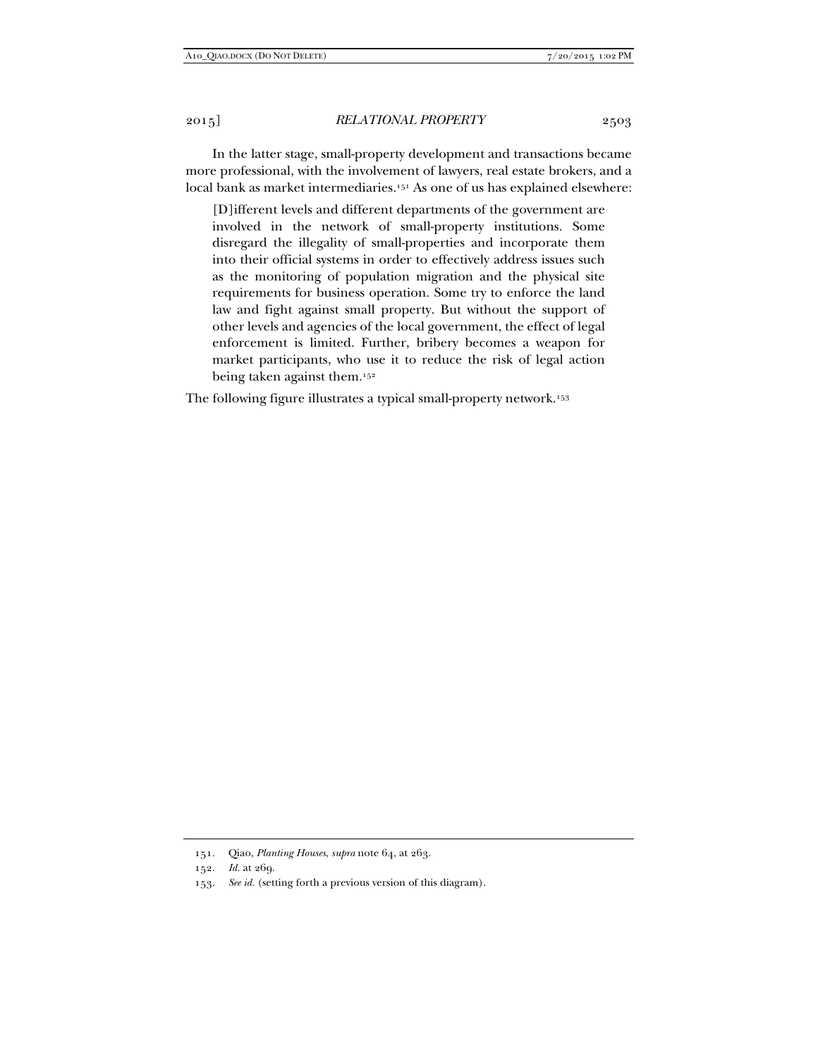In the latter stage, small-property development and transactions became more professional, with the involvement of lawyers, real estate brokers, and a local bank as market intermediaries.<sup>151</sup> As one of us has explained elsewhere:

[D]ifferent levels and different departments of the government are involved in the network of small-property institutions. Some disregard the illegality of small-properties and incorporate them into their official systems in order to effectively address issues such as the monitoring of population migration and the physical site requirements for business operation. Some try to enforce the land law and fight against small property. But without the support of other levels and agencies of the local government, the effect of legal enforcement is limited. Further, bribery becomes a weapon for market participants, who use it to reduce the risk of legal action being taken against them.152

The following figure illustrates a typical small-property network.153

 <sup>151.</sup> Qiao, *Planting Houses*, *supra* note 64, at 263.

 <sup>152.</sup> *Id.* at 269.

 <sup>153.</sup> *See id.* (setting forth a previous version of this diagram).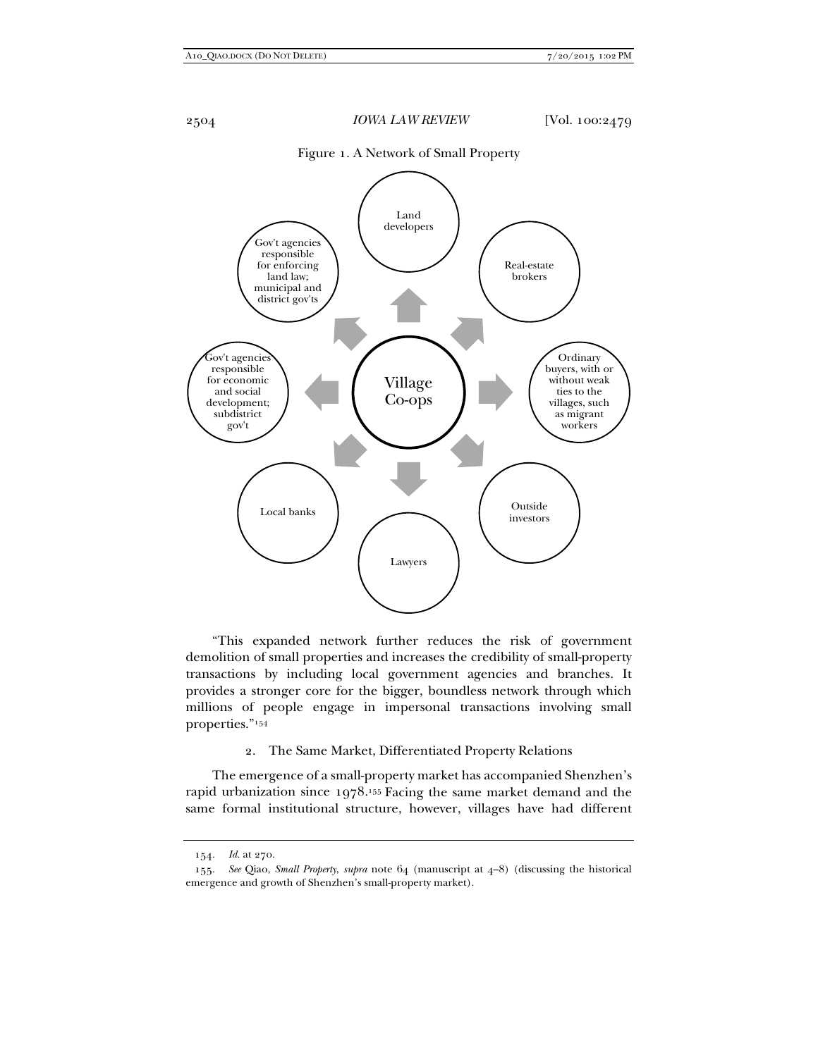

Figure 1. A Network of Small Property

"This expanded network further reduces the risk of government demolition of small properties and increases the credibility of small-property transactions by including local government agencies and branches. It provides a stronger core for the bigger, boundless network through which millions of people engage in impersonal transactions involving small properties."154

2. The Same Market, Differentiated Property Relations

The emergence of a small-property market has accompanied Shenzhen's rapid urbanization since 1978.155 Facing the same market demand and the same formal institutional structure, however, villages have had different

 <sup>154.</sup> *Id.* at 270.

 <sup>155.</sup> *See* Qiao, *Small Property*, *supra* note 64 (manuscript at 4–8) (discussing the historical emergence and growth of Shenzhen's small-property market).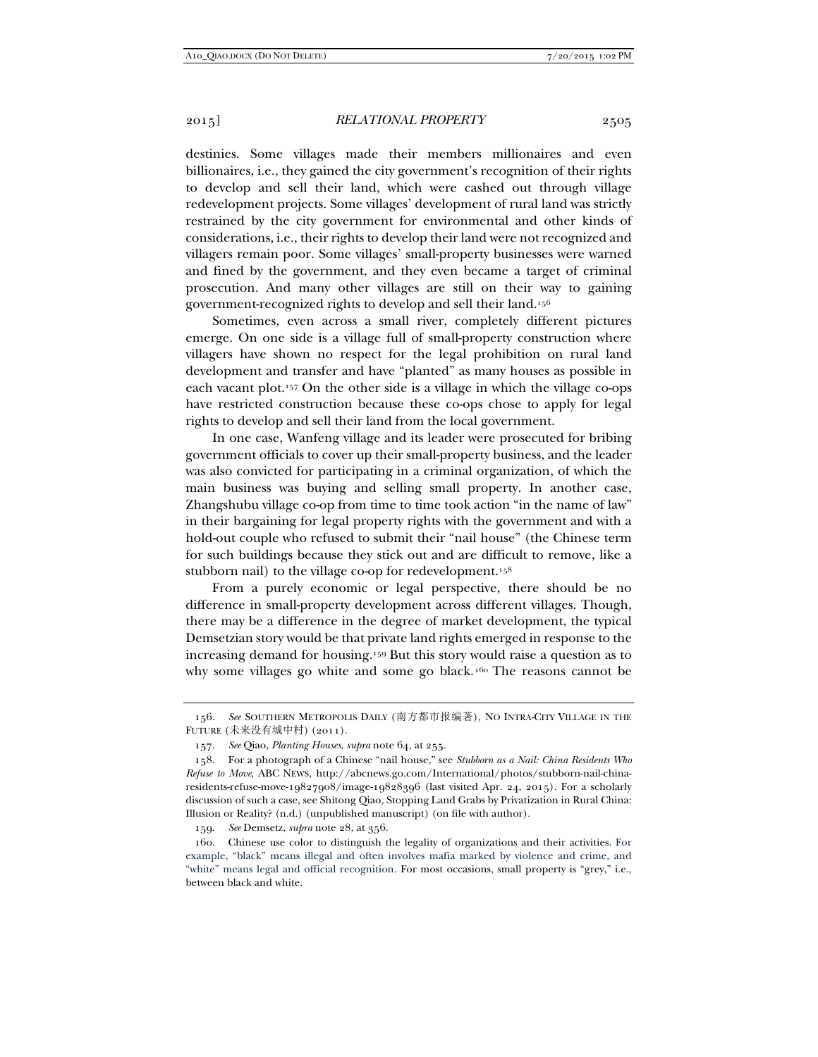destinies. Some villages made their members millionaires and even billionaires, i.e., they gained the city government's recognition of their rights to develop and sell their land, which were cashed out through village redevelopment projects. Some villages' development of rural land was strictly restrained by the city government for environmental and other kinds of considerations, i.e., their rights to develop their land were not recognized and villagers remain poor. Some villages' small-property businesses were warned and fined by the government, and they even became a target of criminal prosecution. And many other villages are still on their way to gaining government-recognized rights to develop and sell their land.156

Sometimes, even across a small river, completely different pictures emerge. On one side is a village full of small-property construction where villagers have shown no respect for the legal prohibition on rural land development and transfer and have "planted" as many houses as possible in each vacant plot.157 On the other side is a village in which the village co-ops have restricted construction because these co-ops chose to apply for legal rights to develop and sell their land from the local government.

In one case, Wanfeng village and its leader were prosecuted for bribing government officials to cover up their small-property business, and the leader was also convicted for participating in a criminal organization, of which the main business was buying and selling small property. In another case, Zhangshubu village co-op from time to time took action "in the name of law" in their bargaining for legal property rights with the government and with a hold-out couple who refused to submit their "nail house" (the Chinese term for such buildings because they stick out and are difficult to remove, like a stubborn nail) to the village co-op for redevelopment.<sup>158</sup>

From a purely economic or legal perspective, there should be no difference in small-property development across different villages. Though, there may be a difference in the degree of market development, the typical Demsetzian story would be that private land rights emerged in response to the increasing demand for housing.159 But this story would raise a question as to why some villages go white and some go black.<sup>160</sup> The reasons cannot be

159. *See* Demsetz, *supra* note 28, at 356.

 <sup>156.</sup> *See* SOUTHERN METROPOLIS DAILY (南方都市报编著), NO INTRA-CITY VILLAGE IN THE FUTURE (未来没有城中村) (2011).

 <sup>157.</sup> *See* Qiao, *Planting Houses*, *supra* note 64, at 255.

 <sup>158.</sup> For a photograph of a Chinese "nail house," see *Stubborn as a Nail: China Residents Who Refuse to Move*, ABC NEWS, http://abcnews.go.com/International/photos/stubborn-nail-chinaresidents-refuse-move-19827908/image-19828396 (last visited Apr. 24, 2015). For a scholarly discussion of such a case, see Shitong Qiao, Stopping Land Grabs by Privatization in Rural China: Illusion or Reality? (n.d.) (unpublished manuscript) (on file with author).

 <sup>160.</sup> Chinese use color to distinguish the legality of organizations and their activities. For example, "black" means illegal and often involves mafia marked by violence and crime, and "white" means legal and official recognition. For most occasions, small property is "grey," i.e., between black and white.